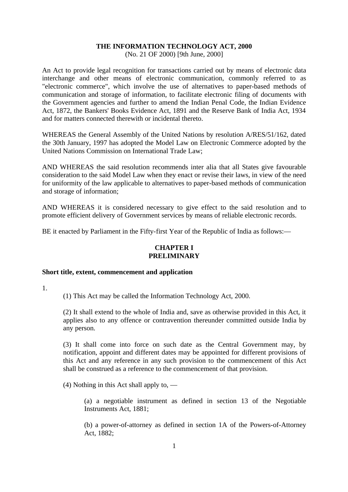#### **THE INFORMATION TECHNOLOGY ACT, 2000**

(No. 21 OF 2000) [9th June, 2000]

An Act to provide legal recognition for transactions carried out by means of electronic data interchange and other means of electronic communication, commonly referred to as "electronic commerce", which involve the use of alternatives to paper-based methods of communication and storage of information, to facilitate electronic filing of documents with the Government agencies and further to amend the Indian Penal Code, the Indian Evidence Act, 1872, the Bankers' Books Evidence Act, 1891 and the Reserve Bank of India Act, 1934 and for matters connected therewith or incidental thereto.

WHEREAS the General Assembly of the United Nations by resolution A/RES/51/162, dated the 30th January, 1997 has adopted the Model Law on Electronic Commerce adopted by the United Nations Commission on International Trade Law;

AND WHEREAS the said resolution recommends inter alia that all States give favourable consideration to the said Model Law when they enact or revise their laws, in view of the need for uniformity of the law applicable to alternatives to paper-based methods of communication and storage of information;

AND WHEREAS it is considered necessary to give effect to the said resolution and to promote efficient delivery of Government services by means of reliable electronic records.

BE it enacted by Parliament in the Fifty-first Year of the Republic of India as follows:—

# **CHAPTER I PRELIMINARY**

#### **Short title, extent, commencement and application**

1.

(1) This Act may be called the Information Technology Act, 2000.

(2) It shall extend to the whole of India and, save as otherwise provided in this Act, it applies also to any offence or contravention thereunder committed outside India by any person.

(3) It shall come into force on such date as the Central Government may, by notification, appoint and different dates may be appointed for different provisions of this Act and any reference in any such provision to the commencement of this Act shall be construed as a reference to the commencement of that provision.

 $(4)$  Nothing in this Act shall apply to, —

(a) a negotiable instrument as defined in section 13 of the Negotiable Instruments Act, 1881;

(b) a power-of-attorney as defined in section 1A of the Powers-of-Attorney Act, 1882;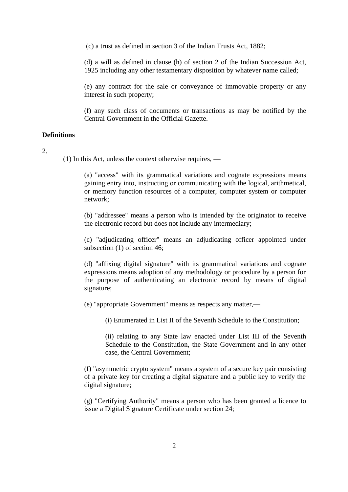(c) a trust as defined in section 3 of the Indian Trusts Act, 1882;

(d) a will as defined in clause (h) of section 2 of the Indian Succession Act, 1925 including any other testamentary disposition by whatever name called;

(e) any contract for the sale or conveyance of immovable property or any interest in such property;

(f) any such class of documents or transactions as may be notified by the Central Government in the Official Gazette.

### **Definitions**

2.

(1) In this Act, unless the context otherwise requires, —

(a) "access" with its grammatical variations and cognate expressions means gaining entry into, instructing or communicating with the logical, arithmetical, or memory function resources of a computer, computer system or computer network;

(b) "addressee" means a person who is intended by the originator to receive the electronic record but does not include any intermediary;

(c) "adjudicating officer" means an adjudicating officer appointed under subsection (1) of section 46;

(d) "affixing digital signature" with its grammatical variations and cognate expressions means adoption of any methodology or procedure by a person for the purpose of authenticating an electronic record by means of digital signature;

(e) "appropriate Government" means as respects any matter,—

(i) Enumerated in List II of the Seventh Schedule to the Constitution;

(ii) relating to any State law enacted under List III of the Seventh Schedule to the Constitution, the State Government and in any other case, the Central Government;

(f) "asymmetric crypto system" means a system of a secure key pair consisting of a private key for creating a digital signature and a public key to verify the digital signature;

(g) "Certifying Authority" means a person who has been granted a licence to issue a Digital Signature Certificate under section 24;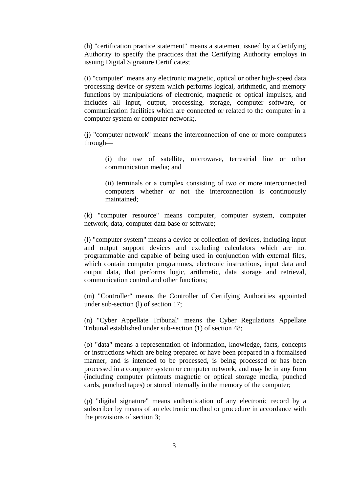(h) "certification practice statement" means a statement issued by a Certifying Authority to specify the practices that the Certifying Authority employs in issuing Digital Signature Certificates;

(i) "computer" means any electronic magnetic, optical or other high-speed data processing device or system which performs logical, arithmetic, and memory functions by manipulations of electronic, magnetic or optical impulses, and includes all input, output, processing, storage, computer software, or communication facilities which are connected or related to the computer in a computer system or computer network;.

(j) "computer network" means the interconnection of one or more computers through—

(i) the use of satellite, microwave, terrestrial line or other communication media; and

(ii) terminals or a complex consisting of two or more interconnected computers whether or not the interconnection is continuously maintained;

(k) "computer resource" means computer, computer system, computer network, data, computer data base or software;

(l) "computer system" means a device or collection of devices, including input and output support devices and excluding calculators which are not programmable and capable of being used in conjunction with external files, which contain computer programmes, electronic instructions, input data and output data, that performs logic, arithmetic, data storage and retrieval, communication control and other functions;

(m) "Controller" means the Controller of Certifying Authorities appointed under sub-section (l) of section 17;

(n) "Cyber Appellate Tribunal" means the Cyber Regulations Appellate Tribunal established under sub-section (1) of section 48;

(o) "data" means a representation of information, knowledge, facts, concepts or instructions which are being prepared or have been prepared in a formalised manner, and is intended to be processed, is being processed or has been processed in a computer system or computer network, and may be in any form (including computer printouts magnetic or optical storage media, punched cards, punched tapes) or stored internally in the memory of the computer;

(p) "digital signature" means authentication of any electronic record by a subscriber by means of an electronic method or procedure in accordance with the provisions of section 3;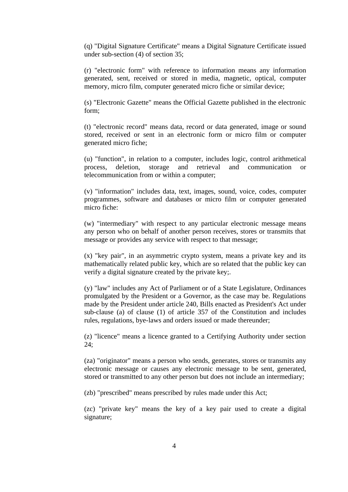(q) "Digital Signature Certificate" means a Digital Signature Certificate issued under sub-section (4) of section 35;

(r) "electronic form" with reference to information means any information generated, sent, received or stored in media, magnetic, optical, computer memory, micro film, computer generated micro fiche or similar device;

(s) "Electronic Gazette" means the Official Gazette published in the electronic form;

(t) "electronic record" means data, record or data generated, image or sound stored, received or sent in an electronic form or micro film or computer generated micro fiche;

(u) "function", in relation to a computer, includes logic, control arithmetical process, deletion, storage and retrieval and communication or telecommunication from or within a computer;

(v) "information" includes data, text, images, sound, voice, codes, computer programmes, software and databases or micro film or computer generated micro fiche:

(w) "intermediary" with respect to any particular electronic message means any person who on behalf of another person receives, stores or transmits that message or provides any service with respect to that message;

(x) "key pair", in an asymmetric crypto system, means a private key and its mathematically related public key, which are so related that the public key can verify a digital signature created by the private key;.

(y) "law" includes any Act of Parliament or of a State Legislature, Ordinances promulgated by the President or a Governor, as the case may be. Regulations made by the President under article 240, Bills enacted as President's Act under sub-clause (a) of clause (1) of article 357 of the Constitution and includes rules, regulations, bye-laws and orders issued or made thereunder;

(z) "licence" means a licence granted to a Certifying Authority under section 24;

(za) "originator" means a person who sends, generates, stores or transmits any electronic message or causes any electronic message to be sent, generated, stored or transmitted to any other person but does not include an intermediary;

(zb) "prescribed" means prescribed by rules made under this Act;

(zc) "private key" means the key of a key pair used to create a digital signature;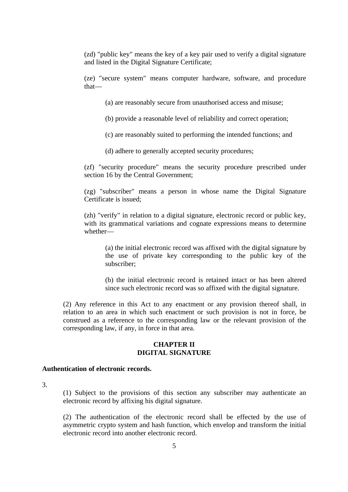(zd) "public key" means the key of a key pair used to verify a digital signature and listed in the Digital Signature Certificate;

(ze) "secure system" means computer hardware, software, and procedure that—

(a) are reasonably secure from unauthorised access and misuse;

(b) provide a reasonable level of reliability and correct operation;

(c) are reasonably suited to performing the intended functions; and

(d) adhere to generally accepted security procedures;

(zf) "security procedure" means the security procedure prescribed under section 16 by the Central Government;

(zg) "subscriber" means a person in whose name the Digital Signature Certificate is issued;

(zh) "verify" in relation to a digital signature, electronic record or public key, with its grammatical variations and cognate expressions means to determine whether—

(a) the initial electronic record was affixed with the digital signature by the use of private key corresponding to the public key of the subscriber;

(b) the initial electronic record is retained intact or has been altered since such electronic record was so affixed with the digital signature.

(2) Any reference in this Act to any enactment or any provision thereof shall, in relation to an area in which such enactment or such provision is not in force, be construed as a reference to the corresponding law or the relevant provision of the corresponding law, if any, in force in that area.

#### **CHAPTER II DIGITAL SIGNATURE**

#### **Authentication of electronic records.**

3.

(1) Subject to the provisions of this section any subscriber may authenticate an electronic record by affixing his digital signature.

(2) The authentication of the electronic record shall be effected by the use of asymmetric crypto system and hash function, which envelop and transform the initial electronic record into another electronic record.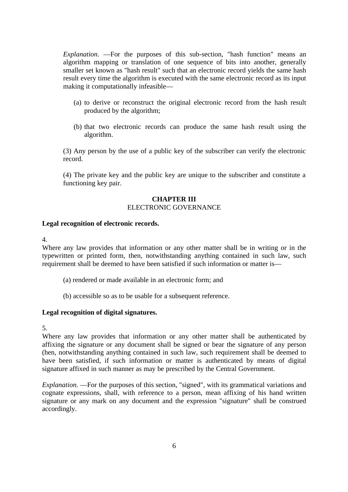*Explanation*. —For the purposes of this sub-section, "hash function" means an algorithm mapping or translation of one sequence of bits into another, generally smaller set known as "hash result" such that an electronic record yields the same hash result every time the algorithm is executed with the same electronic record as its input making it computationally infeasible—

- (a) to derive or reconstruct the original electronic record from the hash result produced by the algorithm;
- (b) that two electronic records can produce the same hash result using the algorithm.

(3) Any person by the use of a public key of the subscriber can verify the electronic record.

(4) The private key and the public key are unique to the subscriber and constitute a functioning key pair.

### **CHAPTER III**  ELECTRONIC GOVERNANCE

#### **Legal recognition of electronic records.**

#### 4.

Where any law provides that information or any other matter shall be in writing or in the typewritten or printed form, then, notwithstanding anything contained in such law, such requirement shall be deemed to have been satisfied if such information or matter is—

- (a) rendered or made available in an electronic form; and
- (b) accessible so as to be usable for a subsequent reference.

#### **Legal recognition of digital signatures.**

5.

Where any law provides that information or any other matter shall be authenticated by affixing the signature or any document shall be signed or bear the signature of any person (hen, notwithstanding anything contained in such law, such requirement shall be deemed to have been satisfied, if such information or matter is authenticated by means of digital signature affixed in such manner as may be prescribed by the Central Government.

*Explanation*. —For the purposes of this section, "signed", with its grammatical variations and cognate expressions, shall, with reference to a person, mean affixing of his hand written signature or any mark on any document and the expression "signature" shall be construed accordingly.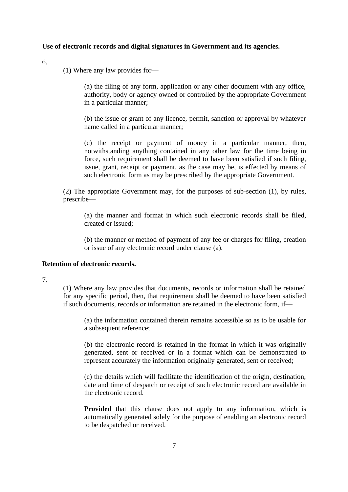#### **Use of electronic records and digital signatures in Government and its agencies.**

6.

(1) Where any law provides for—

(a) the filing of any form, application or any other document with any office, authority, body or agency owned or controlled by the appropriate Government in a particular manner;

(b) the issue or grant of any licence, permit, sanction or approval by whatever name called in a particular manner;

(c) the receipt or payment of money in a particular manner, then, notwithstanding anything contained in any other law for the time being in force, such requirement shall be deemed to have been satisfied if such filing, issue, grant, receipt or payment, as the case may be, is effected by means of such electronic form as may be prescribed by the appropriate Government.

(2) The appropriate Government may, for the purposes of sub-section (1), by rules, prescribe—

(a) the manner and format in which such electronic records shall be filed, created or issued;

(b) the manner or method of payment of any fee or charges for filing, creation or issue of any electronic record under clause (a).

#### **Retention of electronic records.**

7.

(1) Where any law provides that documents, records or information shall be retained for any specific period, then, that requirement shall be deemed to have been satisfied if such documents, records or information are retained in the electronic form, if—

(a) the information contained therein remains accessible so as to be usable for a subsequent reference;

(b) the electronic record is retained in the format in which it was originally generated, sent or received or in a format which can be demonstrated to represent accurately the information originally generated, sent or received;

(c) the details which will facilitate the identification of the origin, destination, date and time of despatch or receipt of such electronic record are available in the electronic record.

**Provided** that this clause does not apply to any information, which is automatically generated solely for the purpose of enabling an electronic record to be despatched or received.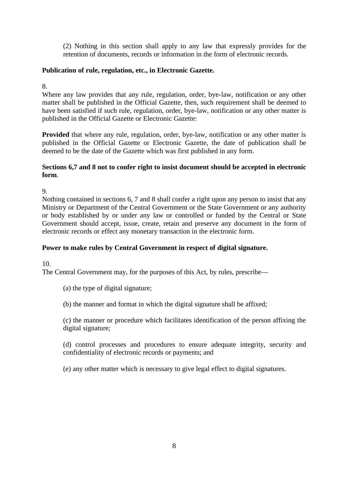(2) Nothing in this section shall apply to any law that expressly provides for the retention of documents, records or information in the form of electronic records.

# **Publication of rule, regulation, etc., in Electronic Gazette.**

8.

Where any law provides that any rule, regulation, order, bye-law, notification or any other matter shall be published in the Official Gazette, then, such requirement shall be deemed to have been satisfied if such rule, regulation, order, bye-law, notification or any other matter is published in the Official Gazette or Electronic Gazette:

**Provided** that where any rule, regulation, order, bye-law, notification or any other matter is published in the Official Gazette or Electronic Gazette, the date of publication shall be deemed to be the date of the Gazette which was first published in any form.

# **Sections 6,7 and 8 not to confer right to insist document should be accepted in electronic form**.

9.

Nothing contained in sections 6, 7 and 8 shall confer a right upon any person to insist that any Ministry or Department of the Central Government or the State Government or any authority or body established by or under any law or controlled or funded by the Central or State Government should accept, issue, create, retain and preserve any document in the form of electronic records or effect any monetary transaction in the electronic form.

# **Power to make rules by Central Government in respect of digital signature.**

10.

The Central Government may, for the purposes of this Act, by rules, prescribe—

(a) the type of digital signature;

(b) the manner and format in which the digital signature shall be affixed;

(c) the manner or procedure which facilitates identification of the person affixing the digital signature;

(d) control processes and procedures to ensure adequate integrity, security and confidentiality of electronic records or payments; and

(e) any other matter which is necessary to give legal effect to digital signatures.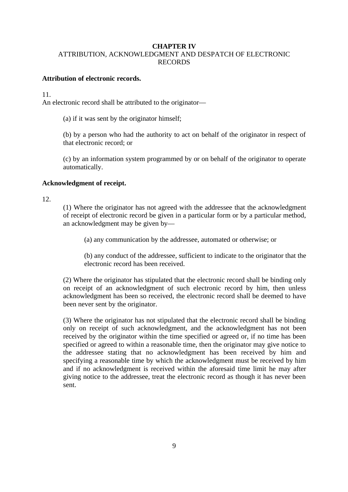# **CHAPTER IV**  ATTRIBUTION, ACKNOWLEDGMENT AND DESPATCH OF ELECTRONIC RECORDS

### **Attribution of electronic records.**

#### 11.

An electronic record shall be attributed to the originator—

(a) if it was sent by the originator himself;

(b) by a person who had the authority to act on behalf of the originator in respect of that electronic record; or

(c) by an information system programmed by or on behalf of the originator to operate automatically.

#### **Acknowledgment of receipt.**

12.

(1) Where the originator has not agreed with the addressee that the acknowledgment of receipt of electronic record be given in a particular form or by a particular method, an acknowledgment may be given by—

(a) any communication by the addressee, automated or otherwise; or

(b) any conduct of the addressee, sufficient to indicate to the originator that the electronic record has been received.

(2) Where the originator has stipulated that the electronic record shall be binding only on receipt of an acknowledgment of such electronic record by him, then unless acknowledgment has been so received, the electronic record shall be deemed to have been never sent by the originator.

(3) Where the originator has not stipulated that the electronic record shall be binding only on receipt of such acknowledgment, and the acknowledgment has not been received by the originator within the time specified or agreed or, if no time has been specified or agreed to within a reasonable time, then the originator may give notice to the addressee stating that no acknowledgment has been received by him and specifying a reasonable time by which the acknowledgment must be received by him and if no acknowledgment is received within the aforesaid time limit he may after giving notice to the addressee, treat the electronic record as though it has never been sent.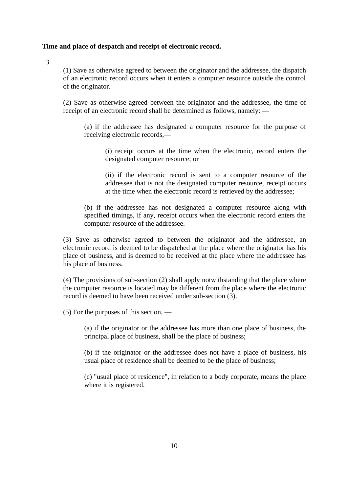### **Time and place of despatch and receipt of electronic record.**

13.

(1) Save as otherwise agreed to between the originator and the addressee, the dispatch of an electronic record occurs when it enters a computer resource outside the control of the originator.

(2) Save as otherwise agreed between the originator and the addressee, the time of receipt of an electronic record shall be determined as follows, namely: —

(a) if the addressee has designated a computer resource for the purpose of receiving electronic records,—

(i) receipt occurs at the time when the electronic, record enters the designated computer resource; or

(ii) if the electronic record is sent to a computer resource of the addressee that is not the designated computer resource, receipt occurs at the time when the electronic record is retrieved by the addressee;

(b) if the addressee has not designated a computer resource along with specified timings, if any, receipt occurs when the electronic record enters the computer resource of the addressee.

(3) Save as otherwise agreed to between the originator and the addressee, an electronic record is deemed to be dispatched at the place where the originator has his place of business, and is deemed to be received at the place where the addressee has his place of business.

(4) The provisions of sub-section (2) shall apply notwithstanding that the place where the computer resource is located may be different from the place where the electronic record is deemed to have been received under sub-section (3).

(5) For the purposes of this section, —

(a) if the originator or the addressee has more than one place of business, the principal place of business, shall be the place of business;

(b) if the originator or the addressee does not have a place of business, his usual place of residence shall be deemed to be the place of business;

(c) "usual place of residence", in relation to a body corporate, means the place where it is registered.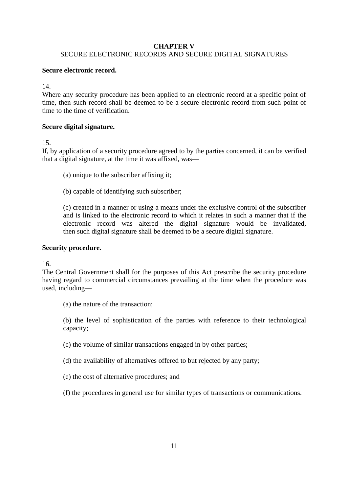# **CHAPTER V**

# SECURE ELECTRONIC RECORDS AND SECURE DIGITAL SIGNATURES

### **Secure electronic record.**

14.

Where any security procedure has been applied to an electronic record at a specific point of time, then such record shall be deemed to be a secure electronic record from such point of time to the time of verification.

### **Secure digital signature.**

15.

If, by application of a security procedure agreed to by the parties concerned, it can be verified that a digital signature, at the time it was affixed, was—

- (a) unique to the subscriber affixing it;
- (b) capable of identifying such subscriber;

(c) created in a manner or using a means under the exclusive control of the subscriber and is linked to the electronic record to which it relates in such a manner that if the electronic record was altered the digital signature would be invalidated, then such digital signature shall be deemed to be a secure digital signature.

#### **Security procedure.**

16.

The Central Government shall for the purposes of this Act prescribe the security procedure having regard to commercial circumstances prevailing at the time when the procedure was used, including—

(a) the nature of the transaction;

(b) the level of sophistication of the parties with reference to their technological capacity;

- (c) the volume of similar transactions engaged in by other parties;
- (d) the availability of alternatives offered to but rejected by any party;
- (e) the cost of alternative procedures; and

(f) the procedures in general use for similar types of transactions or communications.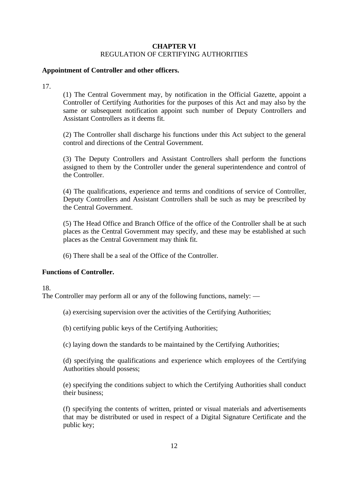# **CHAPTER VI** REGULATION OF CERTIFYING AUTHORITIES

# **Appointment of Controller and other officers.**

17.

(1) The Central Government may, by notification in the Official Gazette, appoint a Controller of Certifying Authorities for the purposes of this Act and may also by the same or subsequent notification appoint such number of Deputy Controllers and Assistant Controllers as it deems fit.

(2) The Controller shall discharge his functions under this Act subject to the general control and directions of the Central Government.

(3) The Deputy Controllers and Assistant Controllers shall perform the functions assigned to them by the Controller under the general superintendence and control of the Controller.

(4) The qualifications, experience and terms and conditions of service of Controller, Deputy Controllers and Assistant Controllers shall be such as may be prescribed by the Central Government.

(5) The Head Office and Branch Office of the office of the Controller shall be at such places as the Central Government may specify, and these may be established at such places as the Central Government may think fit.

(6) There shall be a seal of the Office of the Controller.

# **Functions of Controller.**

18.

The Controller may perform all or any of the following functions, namely: —

(a) exercising supervision over the activities of the Certifying Authorities;

(b) certifying public keys of the Certifying Authorities;

(c) laying down the standards to be maintained by the Certifying Authorities;

(d) specifying the qualifications and experience which employees of the Certifying Authorities should possess;

(e) specifying the conditions subject to which the Certifying Authorities shall conduct their business;

(f) specifying the contents of written, printed or visual materials and advertisements that may be distributed or used in respect of a Digital Signature Certificate and the public key;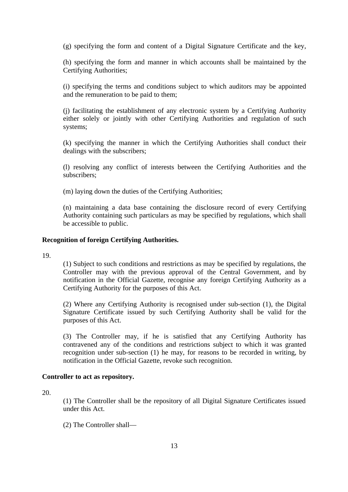(g) specifying the form and content of a Digital Signature Certificate and the key,

(h) specifying the form and manner in which accounts shall be maintained by the Certifying Authorities;

(i) specifying the terms and conditions subject to which auditors may be appointed and the remuneration to be paid to them;

(j) facilitating the establishment of any electronic system by a Certifying Authority either solely or jointly with other Certifying Authorities and regulation of such systems;

(k) specifying the manner in which the Certifying Authorities shall conduct their dealings with the subscribers;

(l) resolving any conflict of interests between the Certifying Authorities and the subscribers;

(m) laying down the duties of the Certifying Authorities;

(n) maintaining a data base containing the disclosure record of every Certifying Authority containing such particulars as may be specified by regulations, which shall be accessible to public.

### **Recognition of foreign Certifying Authorities.**

19.

(1) Subject to such conditions and restrictions as may be specified by regulations, the Controller may with the previous approval of the Central Government, and by notification in the Official Gazette, recognise any foreign Certifying Authority as a Certifying Authority for the purposes of this Act.

(2) Where any Certifying Authority is recognised under sub-section (1), the Digital Signature Certificate issued by such Certifying Authority shall be valid for the purposes of this Act.

(3) The Controller may, if he is satisfied that any Certifying Authority has contravened any of the conditions and restrictions subject to which it was granted recognition under sub-section (1) he may, for reasons to be recorded in writing, by notification in the Official Gazette, revoke such recognition.

### **Controller to act as repository.**

20.

(1) The Controller shall be the repository of all Digital Signature Certificates issued under this Act.

(2) The Controller shall—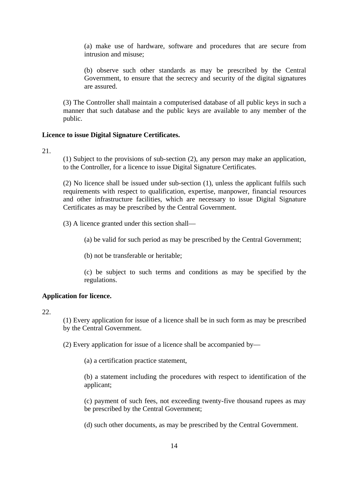(a) make use of hardware, software and procedures that are secure from intrusion and misuse;

(b) observe such other standards as may be prescribed by the Central Government, to ensure that the secrecy and security of the digital signatures are assured.

(3) The Controller shall maintain a computerised database of all public keys in such a manner that such database and the public keys are available to any member of the public.

#### **Licence to issue Digital Signature Certificates.**

21.

(1) Subject to the provisions of sub-section (2), any person may make an application, to the Controller, for a licence to issue Digital Signature Certificates.

(2) No licence shall be issued under sub-section (1), unless the applicant fulfils such requirements with respect to qualification, expertise, manpower, financial resources and other infrastructure facilities, which are necessary to issue Digital Signature Certificates as may be prescribed by the Central Government.

(3) A licence granted under this section shall—

(a) be valid for such period as may be prescribed by the Central Government;

(b) not be transferable or heritable;

(c) be subject to such terms and conditions as may be specified by the regulations.

#### **Application for licence.**

#### 22.

(1) Every application for issue of a licence shall be in such form as may be prescribed by the Central Government.

(2) Every application for issue of a licence shall be accompanied by—

(a) a certification practice statement,

(b) a statement including the procedures with respect to identification of the applicant;

(c) payment of such fees, not exceeding twenty-five thousand rupees as may be prescribed by the Central Government;

(d) such other documents, as may be prescribed by the Central Government.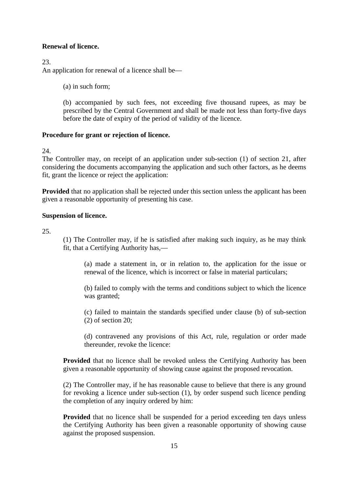### **Renewal of licence.**

#### 23.

An application for renewal of a licence shall be—

(a) in such form;

(b) accompanied by such fees, not exceeding five thousand rupees, as may be prescribed by the Central Government and shall be made not less than forty-five days before the date of expiry of the period of validity of the licence.

#### **Procedure for grant or rejection of licence.**

24.

The Controller may, on receipt of an application under sub-section (1) of section 21, after considering the documents accompanying the application and such other factors, as he deems fit, grant the licence or reject the application:

**Provided** that no application shall be rejected under this section unless the applicant has been given a reasonable opportunity of presenting his case.

### **Suspension of licence.**

25.

(1) The Controller may, if he is satisfied after making such inquiry, as he may think fit, that a Certifying Authority has,—

(a) made a statement in, or in relation to, the application for the issue or renewal of the licence, which is incorrect or false in material particulars;

(b) failed to comply with the terms and conditions subject to which the licence was granted;

(c) failed to maintain the standards specified under clause (b) of sub-section (2) of section 20;

(d) contravened any provisions of this Act, rule, regulation or order made thereunder, revoke the licence:

**Provided** that no licence shall be revoked unless the Certifying Authority has been given a reasonable opportunity of showing cause against the proposed revocation.

(2) The Controller may, if he has reasonable cause to believe that there is any ground for revoking a licence under sub-section (1), by order suspend such licence pending the completion of any inquiry ordered by him:

**Provided** that no licence shall be suspended for a period exceeding ten days unless the Certifying Authority has been given a reasonable opportunity of showing cause against the proposed suspension.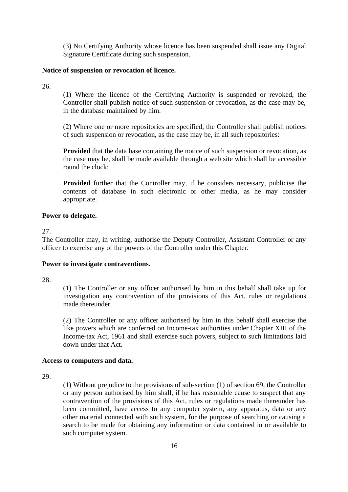(3) No Certifying Authority whose licence has been suspended shall issue any Digital Signature Certificate during such suspension.

#### **Notice of suspension or revocation of licence.**

26.

(1) Where the licence of the Certifying Authority is suspended or revoked, the Controller shall publish notice of such suspension or revocation, as the case may be, in the database maintained by him.

(2) Where one or more repositories are specified, the Controller shall publish notices of such suspension or revocation, as the case may be, in all such repositories:

**Provided** that the data base containing the notice of such suspension or revocation, as the case may be, shall be made available through a web site which shall be accessible round the clock:

**Provided** further that the Controller may, if he considers necessary, publicise the contents of database in such electronic or other media, as he may consider appropriate.

### **Power to delegate.**

27.

The Controller may, in writing, authorise the Deputy Controller, Assistant Controller or any officer to exercise any of the powers of the Controller under this Chapter.

#### **Power to investigate contraventions.**

28.

(1) The Controller or any officer authorised by him in this behalf shall take up for investigation any contravention of the provisions of this Act, rules or regulations made thereunder.

(2) The Controller or any officer authorised by him in this behalf shall exercise the like powers which are conferred on Income-tax authorities under Chapter XIII of the Income-tax Act, 1961 and shall exercise such powers, subject to such limitations laid down under that Act.

#### **Access to computers and data.**

29.

(1) Without prejudice to the provisions of sub-section (1) of section 69, the Controller or any person authorised by him shall, if he has reasonable cause to suspect that any contravention of the provisions of this Act, rules or regulations made thereunder has been committed, have access to any computer system, any apparatus, data or any other material connected with such system, for the purpose of searching or causing a search to be made for obtaining any information or data contained in or available to such computer system.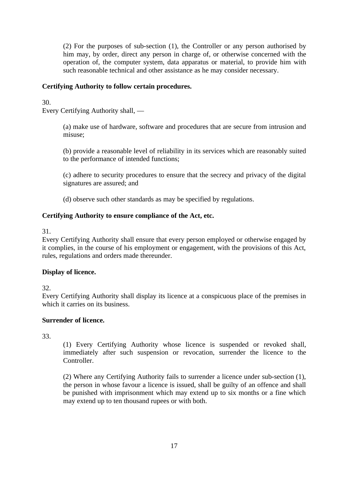(2) For the purposes of sub-section (1), the Controller or any person authorised by him may, by order, direct any person in charge of, or otherwise concerned with the operation of, the computer system, data apparatus or material, to provide him with such reasonable technical and other assistance as he may consider necessary.

# **Certifying Authority to follow certain procedures.**

### 30.

Every Certifying Authority shall, —

(a) make use of hardware, software and procedures that are secure from intrusion and misuse;

(b) provide a reasonable level of reliability in its services which are reasonably suited to the performance of intended functions;

(c) adhere to security procedures to ensure that the secrecy and privacy of the digital signatures are assured; and

(d) observe such other standards as may be specified by regulations.

### **Certifying Authority to ensure compliance of the Act, etc.**

31.

Every Certifying Authority shall ensure that every person employed or otherwise engaged by it complies, in the course of his employment or engagement, with the provisions of this Act, rules, regulations and orders made thereunder.

### **Display of licence.**

32.

Every Certifying Authority shall display its licence at a conspicuous place of the premises in which it carries on its business.

#### **Surrender of licence.**

33.

(1) Every Certifying Authority whose licence is suspended or revoked shall, immediately after such suspension or revocation, surrender the licence to the Controller.

(2) Where any Certifying Authority fails to surrender a licence under sub-section (1), the person in whose favour a licence is issued, shall be guilty of an offence and shall be punished with imprisonment which may extend up to six months or a fine which may extend up to ten thousand rupees or with both.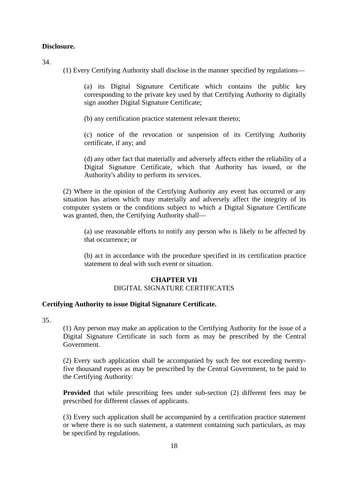#### **Disclosure.**

34.

(1) Every Certifying Authority shall disclose in the manner specified by regulations—

(a) its Digital Signature Certificate which contains the public key corresponding to the private key used by that Certifying Authority to digitally sign another Digital Signature Certificate;

(b) any certification practice statement relevant thereto;

(c) notice of the revocation or suspension of its Certifying Authority certificate, if any; and

(d) any other fact that materially and adversely affects either the reliability of a Digital Signature Certificate, which that Authority has issued, or the Authority's ability to perform its services.

(2) Where in the opinion of the Certifying Authority any event has occurred or any situation has arisen which may materially and adversely affect the integrity of its computer system or the conditions subject to which a Digital Signature Certificate was granted, then, the Certifying Authority shall—

(a) use reasonable efforts to notify any person who is likely to be affected by that occurrence; or

(b) act in accordance with the procedure specified in its certification practice statement to deal with such event or situation.

#### **CHAPTER VII**

#### DIGITAL SIGNATURE CERTIFICATES

#### **Certifying Authority to issue Digital Signature Certificate.**

35.

(1) Any person may make an application to the Certifying Authority for the issue of a Digital Signature Certificate in such form as may be prescribed by the Central Government.

(2) Every such application shall be accompanied by such fee not exceeding twentyfive thousand rupees as may be prescribed by the Central Government, to be paid to the Certifying Authority:

**Provided** that while prescribing fees under sub-section (2) different fees may be prescribed for different classes of applicants.

(3) Every such application shall be accompanied by a certification practice statement or where there is no such statement, a statement containing such particulars, as may be specified by regulations.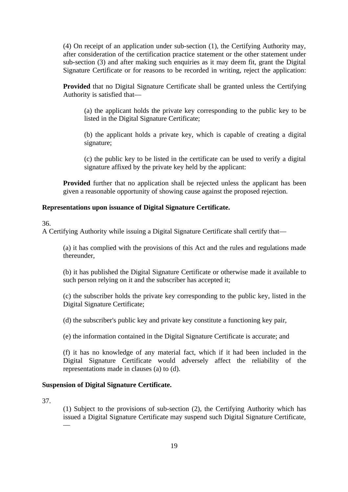(4) On receipt of an application under sub-section (1), the Certifying Authority may, after consideration of the certification practice statement or the other statement under sub-section (3) and after making such enquiries as it may deem fit, grant the Digital Signature Certificate or for reasons to be recorded in writing, reject the application:

**Provided** that no Digital Signature Certificate shall be granted unless the Certifying Authority is satisfied that—

(a) the applicant holds the private key corresponding to the public key to be listed in the Digital Signature Certificate;

(b) the applicant holds a private key, which is capable of creating a digital signature;

(c) the public key to be listed in the certificate can be used to verify a digital signature affixed by the private key held by the applicant:

**Provided** further that no application shall be rejected unless the applicant has been given a reasonable opportunity of showing cause against the proposed rejection.

### **Representations upon issuance of Digital Signature Certificate.**

36.

A Certifying Authority while issuing a Digital Signature Certificate shall certify that—

(a) it has complied with the provisions of this Act and the rules and regulations made thereunder,

(b) it has published the Digital Signature Certificate or otherwise made it available to such person relying on it and the subscriber has accepted it;

(c) the subscriber holds the private key corresponding to the public key, listed in the Digital Signature Certificate;

(d) the subscriber's public key and private key constitute a functioning key pair,

(e) the information contained in the Digital Signature Certificate is accurate; and

(f) it has no knowledge of any material fact, which if it had been included in the Digital Signature Certificate would adversely affect the reliability of the representations made in clauses (a) to (d).

#### **Suspension of Digital Signature Certificate.**

37.

—

(1) Subject to the provisions of sub-section (2), the Certifying Authority which has issued a Digital Signature Certificate may suspend such Digital Signature Certificate,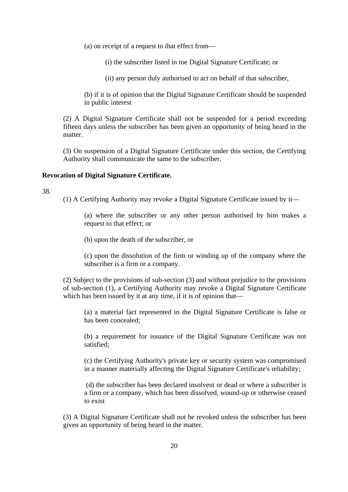(a) on receipt of a request to that effect from—

(i) the subscriber listed in toe Digital Signature Certificate; or

(ii) any person duly authorised to act on behalf of that subscriber,

(b) if it is of opinion that the Digital Signature Certificate should be suspended in public interest

(2) A Digital Signature Certificate shall not be suspended for a period exceeding fifteen days unless the subscriber has been given an opportunity of being heard in the matter.

(3) On suspension of a Digital Signature Certificate under this section, the Certifying Authority shall communicate the same to the subscriber.

#### **Revocation of Digital Signature Certificate.**

38.

(1) A Certifying Authority may revoke a Digital Signature Certificate issued by it—

(a) where the subscriber or any other person authorised by him makes a request to that effect; or

(b) upon the death of the subscriber, or

(c) upon the dissolution of the firm or winding up of the company where the subscriber is a firm or a company.

(2) Subject to the provisions of sub-section (3) and without prejudice to the provisions of sub-section (1), a Certifying Authority may revoke a Digital Signature Certificate which has been issued by it at any time, if it is of opinion that—

(a) a material fact represented in the Digital Signature Certificate is false or has been concealed;

(b) a requirement for issuance of the Digital Signature Certificate was not satisfied;

(c) the Certifying Authority's private key or security system was compromised in a manner materially affecting the Digital Signature Certificate's reliability;

 (d) the subscriber has been declared insolvent or dead or where a subscriber is a firm or a company, which has been dissolved, wound-up or otherwise ceased to exist

(3) A Digital Signature Certificate shall not be revoked unless the subscriber has been given an opportunity of being heard in the matter.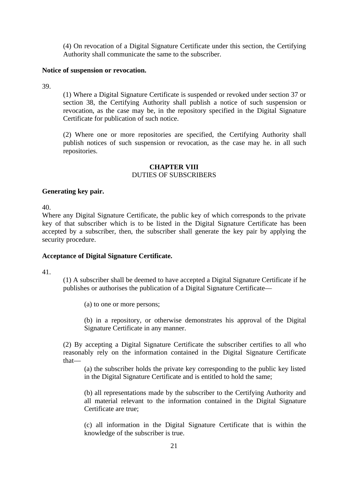(4) On revocation of a Digital Signature Certificate under this section, the Certifying Authority shall communicate the same to the subscriber.

#### **Notice of suspension or revocation.**

39.

(1) Where a Digital Signature Certificate is suspended or revoked under section 37 or section 38, the Certifying Authority shall publish a notice of such suspension or revocation, as the case may be, in the repository specified in the Digital Signature Certificate for publication of such notice.

(2) Where one or more repositories are specified, the Certifying Authority shall publish notices of such suspension or revocation, as the case may he. in all such repositories.

### **CHAPTER VIII** DUTIES OF SUBSCRIBERS

#### **Generating key pair.**

40.

Where any Digital Signature Certificate, the public key of which corresponds to the private key of that subscriber which is to be listed in the Digital Signature Certificate has been accepted by a subscriber, then, the subscriber shall generate the key pair by applying the security procedure.

#### **Acceptance of Digital Signature Certificate.**

41.

(1) A subscriber shall be deemed to have accepted a Digital Signature Certificate if he publishes or authorises the publication of a Digital Signature Certificate—

(a) to one or more persons;

(b) in a repository, or otherwise demonstrates his approval of the Digital Signature Certificate in any manner.

(2) By accepting a Digital Signature Certificate the subscriber certifies to all who reasonably rely on the information contained in the Digital Signature Certificate that—

(a) the subscriber holds the private key corresponding to the public key listed in the Digital Signature Certificate and is entitled to hold the same;

(b) all representations made by the subscriber to the Certifying Authority and all material relevant to the information contained in the Digital Signature Certificate are true;

(c) all information in the Digital Signature Certificate that is within the knowledge of the subscriber is true.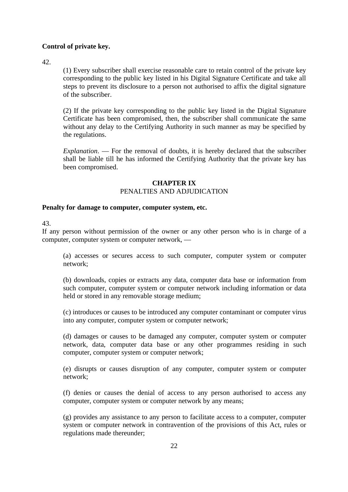### **Control of private key.**

42.

(1) Every subscriber shall exercise reasonable care to retain control of the private key corresponding to the public key listed in his Digital Signature Certificate and take all steps to prevent its disclosure to a person not authorised to affix the digital signature of the subscriber.

(2) If the private key corresponding to the public key listed in the Digital Signature Certificate has been compromised, then, the subscriber shall communicate the same without any delay to the Certifying Authority in such manner as may be specified by the regulations.

*Explanation*. — For the removal of doubts, it is hereby declared that the subscriber shall be liable till he has informed the Certifying Authority that the private key has been compromised.

#### **CHAPTER IX**

### PENALTIES AND ADJUDICATION

#### **Penalty for damage to computer, computer system, etc.**

43.

If any person without permission of the owner or any other person who is in charge of a computer, computer system or computer network, —

(a) accesses or secures access to such computer, computer system or computer network;

(b) downloads, copies or extracts any data, computer data base or information from such computer, computer system or computer network including information or data held or stored in any removable storage medium;

(c) introduces or causes to be introduced any computer contaminant or computer virus into any computer, computer system or computer network;

(d) damages or causes to be damaged any computer, computer system or computer network, data, computer data base or any other programmes residing in such computer, computer system or computer network;

(e) disrupts or causes disruption of any computer, computer system or computer network;

(f) denies or causes the denial of access to any person authorised to access any computer, computer system or computer network by any means;

(g) provides any assistance to any person to facilitate access to a computer, computer system or computer network in contravention of the provisions of this Act, rules or regulations made thereunder;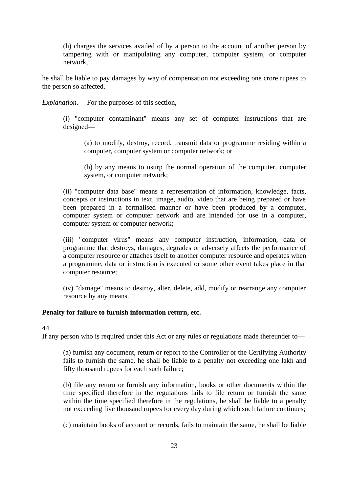(h) charges the services availed of by a person to the account of another person by tampering with or manipulating any computer, computer system, or computer network,

he shall be liable to pay damages by way of compensation not exceeding one crore rupees to the person so affected.

*Explanation*. —For the purposes of this section, —

(i) "computer contaminant" means any set of computer instructions that are designed—

(a) to modify, destroy, record, transmit data or programme residing within a computer, computer system or computer network; or

(b) by any means to usurp the normal operation of the computer, computer system, or computer network;

(ii) "computer data base" means a representation of information, knowledge, facts, concepts or instructions in text, image, audio, video that are being prepared or have been prepared in a formalised manner or have been produced by a computer, computer system or computer network and are intended for use in a computer, computer system or computer network;

(iii) "computer virus" means any computer instruction, information, data or programme that destroys, damages, degrades or adversely affects the performance of a computer resource or attaches itself to another computer resource and operates when a programme, data or instruction is executed or some other event takes place in that computer resource;

(iv) "damage" means to destroy, alter, delete, add, modify or rearrange any computer resource by any means.

### **Penalty for failure to furnish information return, etc.**

44.

If any person who is required under this Act or any rules or regulations made thereunder to—

(a) furnish any document, return or report to the Controller or the Certifying Authority fails to furnish the same, he shall be liable to a penalty not exceeding one lakh and fifty thousand rupees for each such failure;

(b) file any return or furnish any information, books or other documents within the time specified therefore in the regulations fails to file return or furnish the same within the time specified therefore in the regulations, he shall be liable to a penalty not exceeding five thousand rupees for every day during which such failure continues;

(c) maintain books of account or records, fails to maintain the same, he shall be liable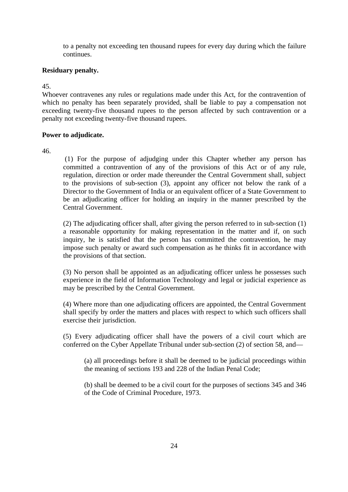to a penalty not exceeding ten thousand rupees for every day during which the failure continues.

### **Residuary penalty.**

45.

Whoever contravenes any rules or regulations made under this Act, for the contravention of which no penalty has been separately provided, shall be liable to pay a compensation not exceeding twenty-five thousand rupees to the person affected by such contravention or a penalty not exceeding twenty-five thousand rupees.

# **Power to adjudicate.**

46.

 (1) For the purpose of adjudging under this Chapter whether any person has committed a contravention of any of the provisions of this Act or of any rule, regulation, direction or order made thereunder the Central Government shall, subject to the provisions of sub-section (3), appoint any officer not below the rank of a Director to the Government of India or an equivalent officer of a State Government to be an adjudicating officer for holding an inquiry in the manner prescribed by the Central Government.

(2) The adjudicating officer shall, after giving the person referred to in sub-section (1) a reasonable opportunity for making representation in the matter and if, on such inquiry, he is satisfied that the person has committed the contravention, he may impose such penalty or award such compensation as he thinks fit in accordance with the provisions of that section.

(3) No person shall be appointed as an adjudicating officer unless he possesses such experience in the field of Information Technology and legal or judicial experience as may be prescribed by the Central Government.

(4) Where more than one adjudicating officers are appointed, the Central Government shall specify by order the matters and places with respect to which such officers shall exercise their jurisdiction.

(5) Every adjudicating officer shall have the powers of a civil court which are conferred on the Cyber Appellate Tribunal under sub-section (2) of section 58, and—

(a) all proceedings before it shall be deemed to be judicial proceedings within the meaning of sections 193 and 228 of the Indian Penal Code;

(b) shall be deemed to be a civil court for the purposes of sections 345 and 346 of the Code of Criminal Procedure, 1973.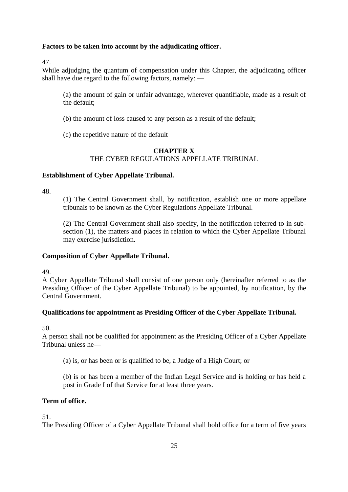# **Factors to be taken into account by the adjudicating officer.**

47.

While adjudging the quantum of compensation under this Chapter, the adjudicating officer shall have due regard to the following factors, namely: —

(a) the amount of gain or unfair advantage, wherever quantifiable, made as a result of the default;

- (b) the amount of loss caused to any person as a result of the default;
- (c) the repetitive nature of the default

# **CHAPTER X**

# THE CYBER REGULATIONS APPELLATE TRIBUNAL

# **Establishment of Cyber Appellate Tribunal.**

48.

(1) The Central Government shall, by notification, establish one or more appellate tribunals to be known as the Cyber Regulations Appellate Tribunal.

(2) The Central Government shall also specify, in the notification referred to in subsection (1), the matters and places in relation to which the Cyber Appellate Tribunal may exercise jurisdiction.

# **Composition of Cyber Appellate Tribunal.**

49.

A Cyber Appellate Tribunal shall consist of one person only (hereinafter referred to as the Presiding Officer of the Cyber Appellate Tribunal) to be appointed, by notification, by the Central Government.

### **Qualifications for appointment as Presiding Officer of the Cyber Appellate Tribunal.**

50.

A person shall not be qualified for appointment as the Presiding Officer of a Cyber Appellate Tribunal unless he—

(a) is, or has been or is qualified to be, a Judge of a High Court; or

(b) is or has been a member of the Indian Legal Service and is holding or has held a post in Grade I of that Service for at least three years.

# **Term of office.**

51.

The Presiding Officer of a Cyber Appellate Tribunal shall hold office for a term of five years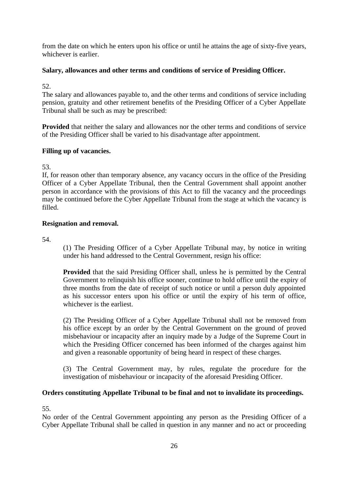from the date on which he enters upon his office or until he attains the age of sixty-five years, whichever is earlier.

### **Salary, allowances and other terms and conditions of service of Presiding Officer.**

52.

The salary and allowances payable to, and the other terms and conditions of service including pension, gratuity and other retirement benefits of the Presiding Officer of a Cyber Appellate Tribunal shall be such as may be prescribed:

**Provided** that neither the salary and allowances nor the other terms and conditions of service of the Presiding Officer shall be varied to his disadvantage after appointment.

### **Filling up of vacancies.**

53.

If, for reason other than temporary absence, any vacancy occurs in the office of the Presiding Officer of a Cyber Appellate Tribunal, then the Central Government shall appoint another person in accordance with the provisions of this Act to fill the vacancy and the proceedings may be continued before the Cyber Appellate Tribunal from the stage at which the vacancy is filled.

# **Resignation and removal.**

54.

(1) The Presiding Officer of a Cyber Appellate Tribunal may, by notice in writing under his hand addressed to the Central Government, resign his office:

**Provided** that the said Presiding Officer shall, unless he is permitted by the Central Government to relinquish his office sooner, continue to hold office until the expiry of three months from the date of receipt of such notice or until a person duly appointed as his successor enters upon his office or until the expiry of his term of office, whichever is the earliest.

(2) The Presiding Officer of a Cyber Appellate Tribunal shall not be removed from his office except by an order by the Central Government on the ground of proved misbehaviour or incapacity after an inquiry made by a Judge of the Supreme Court in which the Presiding Officer concerned has been informed of the charges against him and given a reasonable opportunity of being heard in respect of these charges.

(3) The Central Government may, by rules, regulate the procedure for the investigation of misbehaviour or incapacity of the aforesaid Presiding Officer.

# **Orders constituting Appellate Tribunal to be final and not to invalidate its proceedings.**

55.

No order of the Central Government appointing any person as the Presiding Officer of a Cyber Appellate Tribunal shall be called in question in any manner and no act or proceeding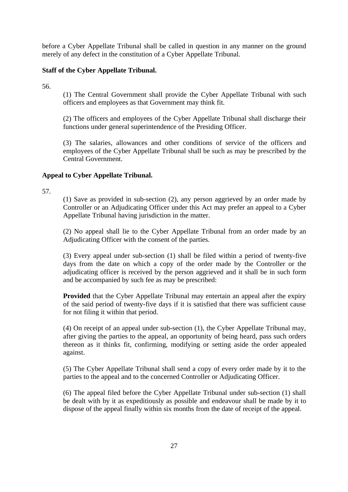before a Cyber Appellate Tribunal shall be called in question in any manner on the ground merely of any defect in the constitution of a Cyber Appellate Tribunal.

# **Staff of the Cyber Appellate Tribunal.**

56.

(1) The Central Government shall provide the Cyber Appellate Tribunal with such officers and employees as that Government may think fit.

(2) The officers and employees of the Cyber Appellate Tribunal shall discharge their functions under general superintendence of the Presiding Officer.

(3) The salaries, allowances and other conditions of service of the officers and employees of the Cyber Appellate Tribunal shall be such as may be prescribed by the Central Government.

### **Appeal to Cyber Appellate Tribunal.**

57.

(1) Save as provided in sub-section (2), any person aggrieved by an order made by Controller or an Adjudicating Officer under this Act may prefer an appeal to a Cyber Appellate Tribunal having jurisdiction in the matter.

(2) No appeal shall lie to the Cyber Appellate Tribunal from an order made by an Adjudicating Officer with the consent of the parties.

(3) Every appeal under sub-section (1) shall be filed within a period of twenty-five days from the date on which a copy of the order made by the Controller or the adjudicating officer is received by the person aggrieved and it shall be in such form and be accompanied by such fee as may be prescribed:

**Provided** that the Cyber Appellate Tribunal may entertain an appeal after the expiry of the said period of twenty-five days if it is satisfied that there was sufficient cause for not filing it within that period.

(4) On receipt of an appeal under sub-section (1), the Cyber Appellate Tribunal may, after giving the parties to the appeal, an opportunity of being heard, pass such orders thereon as it thinks fit, confirming, modifying or setting aside the order appealed against.

(5) The Cyber Appellate Tribunal shall send a copy of every order made by it to the parties to the appeal and to the concerned Controller or Adjudicating Officer.

(6) The appeal filed before the Cyber Appellate Tribunal under sub-section (1) shall be dealt with by it as expeditiously as possible and endeavour shall be made by it to dispose of the appeal finally within six months from the date of receipt of the appeal.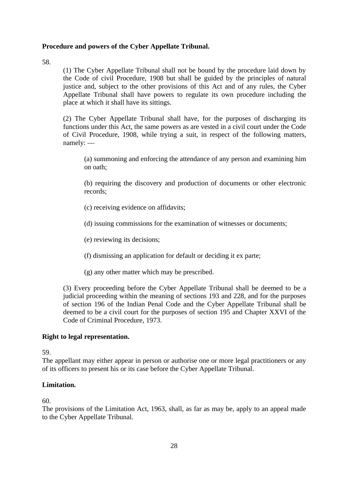# **Procedure and powers of the Cyber Appellate Tribunal.**

58.

(1) The Cyber Appellate Tribunal shall not be bound by the procedure laid down by the Code of civil Procedure, 1908 but shall be guided by the principles of natural justice and, subject to the other provisions of this Act and of any rules, the Cyber Appellate Tribunal shall have powers to regulate its own procedure including the place at which it shall have its sittings.

(2) The Cyber Appellate Tribunal shall have, for the purposes of discharging its functions under this Act, the same powers as are vested in a civil court under the Code of Civil Procedure, 1908, while trying a suit, in respect of the following matters, namely: —

(a) summoning and enforcing the attendance of any person and examining him on oath;

(b) requiring the discovery and production of documents or other electronic records;

- (c) receiving evidence on affidavits;
- (d) issuing commissions for the examination of witnesses or documents;

(e) reviewing its decisions;

(f) dismissing an application for default or deciding it ex parte;

(g) any other matter which may be prescribed.

(3) Every proceeding before the Cyber Appellate Tribunal shall be deemed to be a judicial proceeding within the meaning of sections 193 and 228, and for the purposes of section 196 of the Indian Penal Code and the Cyber Appellate Tribunal shall be deemed to be a civil court for the purposes of section 195 and Chapter XXVI of the Code of Criminal Procedure, 1973.

### **Right to legal representation.**

59.

The appellant may either appear in person or authorise one or more legal practitioners or any of its officers to present his or its case before the Cyber Appellate Tribunal.

# **Limitation.**

60.

The provisions of the Limitation Act, 1963, shall, as far as may be, apply to an appeal made to the Cyber Appellate Tribunal.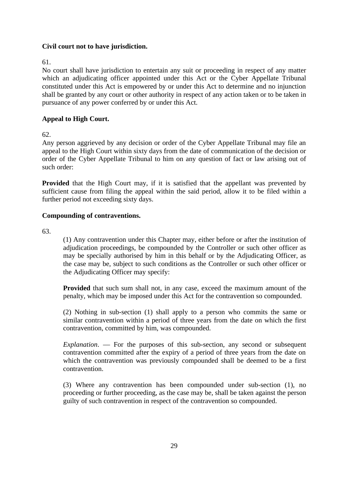### **Civil court not to have jurisdiction.**

61.

No court shall have jurisdiction to entertain any suit or proceeding in respect of any matter which an adjudicating officer appointed under this Act or the Cyber Appellate Tribunal constituted under this Act is empowered by or under this Act to determine and no injunction shall be granted by any court or other authority in respect of any action taken or to be taken in pursuance of any power conferred by or under this Act.

# **Appeal to High Court.**

62.

Any person aggrieved by any decision or order of the Cyber Appellate Tribunal may file an appeal to the High Court within sixty days from the date of communication of the decision or order of the Cyber Appellate Tribunal to him on any question of fact or law arising out of such order:

**Provided** that the High Court may, if it is satisfied that the appellant was prevented by sufficient cause from filing the appeal within the said period, allow it to be filed within a further period not exceeding sixty days.

### **Compounding of contraventions.**

63.

(1) Any contravention under this Chapter may, either before or after the institution of adjudication proceedings, be compounded by the Controller or such other officer as may be specially authorised by him in this behalf or by the Adjudicating Officer, as the case may be, subject to such conditions as the Controller or such other officer or the Adjudicating Officer may specify:

**Provided** that such sum shall not, in any case, exceed the maximum amount of the penalty, which may be imposed under this Act for the contravention so compounded.

(2) Nothing in sub-section (1) shall apply to a person who commits the same or similar contravention within a period of three years from the date on which the first contravention, committed by him, was compounded.

*Explanation*. — For the purposes of this sub-section, any second or subsequent contravention committed after the expiry of a period of three years from the date on which the contravention was previously compounded shall be deemed to be a first contravention.

(3) Where any contravention has been compounded under sub-section (1), no proceeding or further proceeding, as the case may be, shall be taken against the person guilty of such contravention in respect of the contravention so compounded.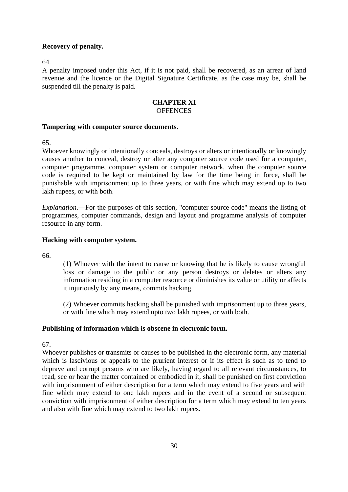### **Recovery of penalty.**

64.

A penalty imposed under this Act, if it is not paid, shall be recovered, as an arrear of land revenue and the licence or the Digital Signature Certificate, as the case may be, shall be suspended till the penalty is paid.

#### **CHAPTER XI OFFENCES**

### **Tampering with computer source documents.**

65.

Whoever knowingly or intentionally conceals, destroys or alters or intentionally or knowingly causes another to conceal, destroy or alter any computer source code used for a computer, computer programme, computer system or computer network, when the computer source code is required to be kept or maintained by law for the time being in force, shall be punishable with imprisonment up to three years, or with fine which may extend up to two lakh rupees, or with both.

*Explanation*.—For the purposes of this section, "computer source code" means the listing of programmes, computer commands, design and layout and programme analysis of computer resource in any form.

#### **Hacking with computer system.**

66.

(1) Whoever with the intent to cause or knowing that he is likely to cause wrongful loss or damage to the public or any person destroys or deletes or alters any information residing in a computer resource or diminishes its value or utility or affects it injuriously by any means, commits hacking.

(2) Whoever commits hacking shall be punished with imprisonment up to three years, or with fine which may extend upto two lakh rupees, or with both.

### **Publishing of information which is obscene in electronic form.**

67.

Whoever publishes or transmits or causes to be published in the electronic form, any material which is lascivious or appeals to the prurient interest or if its effect is such as to tend to deprave and corrupt persons who are likely, having regard to all relevant circumstances, to read, see or hear the matter contained or embodied in it, shall be punished on first conviction with imprisonment of either description for a term which may extend to five years and with fine which may extend to one lakh rupees and in the event of a second or subsequent conviction with imprisonment of either description for a term which may extend to ten years and also with fine which may extend to two lakh rupees.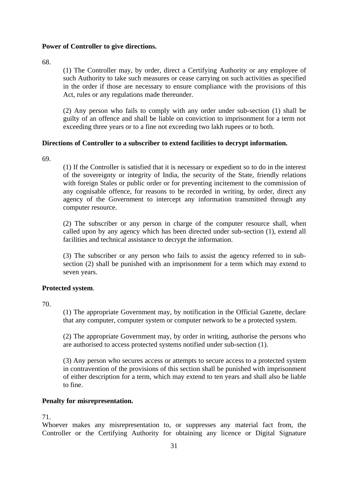#### **Power of Controller to give directions.**

68.

(1) The Controller may, by order, direct a Certifying Authority or any employee of such Authority to take such measures or cease carrying on such activities as specified in the order if those are necessary to ensure compliance with the provisions of this Act, rules or any regulations made thereunder.

(2) Any person who fails to comply with any order under sub-section (1) shall be guilty of an offence and shall be liable on conviction to imprisonment for a term not exceeding three years or to a fine not exceeding two lakh rupees or to both.

### **Directions of Controller to a subscriber to extend facilities to decrypt information.**

69.

(1) If the Controller is satisfied that it is necessary or expedient so to do in the interest of the sovereignty or integrity of India, the security of the State, friendly relations with foreign Stales or public order or for preventing incitement to the commission of any cognisable offence, for reasons to be recorded in writing, by order, direct any agency of the Government to intercept any information transmitted through any computer resource.

(2) The subscriber or any person in charge of the computer resource shall, when called upon by any agency which has been directed under sub-section (1), extend all facilities and technical assistance to decrypt the information.

(3) The subscriber or any person who fails to assist the agency referred to in subsection (2) shall be punished with an imprisonment for a term which may extend to seven years.

### **Protected system**.

70.

(1) The appropriate Government may, by notification in the Official Gazette, declare that any computer, computer system or computer network to be a protected system.

(2) The appropriate Government may, by order in writing, authorise the persons who are authorised to access protected systems notified under sub-section (1).

(3) Any person who secures access or attempts to secure access to a protected system in contravention of the provisions of this section shall be punished with imprisonment of either description for a term, which may extend to ten years and shall also be liable to fine.

### **Penalty for misrepresentation.**

71.

Whoever makes any misrepresentation to, or suppresses any material fact from, the Controller or the Certifying Authority for obtaining any licence or Digital Signature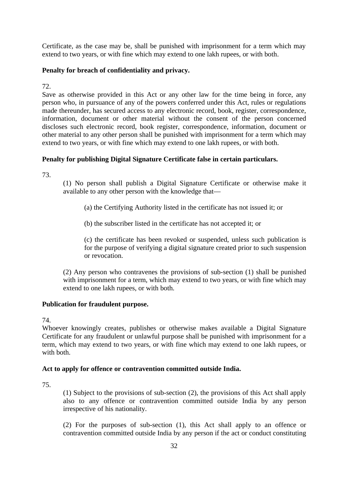Certificate, as the case may be, shall be punished with imprisonment for a term which may extend to two years, or with fine which may extend to one lakh rupees, or with both.

### **Penalty for breach of confidentiality and privacy.**

72.

Save as otherwise provided in this Act or any other law for the time being in force, any person who, in pursuance of any of the powers conferred under this Act, rules or regulations made thereunder, has secured access to any electronic record, book, register, correspondence, information, document or other material without the consent of the person concerned discloses such electronic record, book register, correspondence, information, document or other material to any other person shall be punished with imprisonment for a term which may extend to two years, or with fine which may extend to one lakh rupees, or with both.

# **Penalty for publishing Digital Signature Certificate false in certain particulars.**

73.

(1) No person shall publish a Digital Signature Certificate or otherwise make it available to any other person with the knowledge that—

(a) the Certifying Authority listed in the certificate has not issued it; or

(b) the subscriber listed in the certificate has not accepted it; or

(c) the certificate has been revoked or suspended, unless such publication is for the purpose of verifying a digital signature created prior to such suspension or revocation.

(2) Any person who contravenes the provisions of sub-section (1) shall be punished with imprisonment for a term, which may extend to two years, or with fine which may extend to one lakh rupees, or with both.

### **Publication for fraudulent purpose.**

74.

Whoever knowingly creates, publishes or otherwise makes available a Digital Signature Certificate for any fraudulent or unlawful purpose shall be punished with imprisonment for a term, which may extend to two years, or with fine which may extend to one lakh rupees, or with both.

#### **Act to apply for offence or contravention committed outside India.**

75.

(1) Subject to the provisions of sub-section (2), the provisions of this Act shall apply also to any offence or contravention committed outside India by any person irrespective of his nationality.

(2) For the purposes of sub-section (1), this Act shall apply to an offence or contravention committed outside India by any person if the act or conduct constituting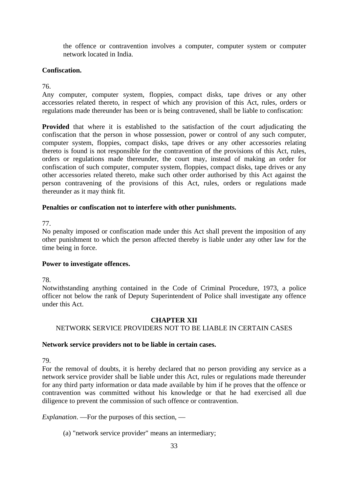the offence or contravention involves a computer, computer system or computer network located in India.

### **Confiscation.**

76.

Any computer, computer system, floppies, compact disks, tape drives or any other accessories related thereto, in respect of which any provision of this Act, rules, orders or regulations made thereunder has been or is being contravened, shall be liable to confiscation:

**Provided** that where it is established to the satisfaction of the court adjudicating the confiscation that the person in whose possession, power or control of any such computer, computer system, floppies, compact disks, tape drives or any other accessories relating thereto is found is not responsible for the contravention of the provisions of this Act, rules, orders or regulations made thereunder, the court may, instead of making an order for confiscation of such computer, computer system, floppies, compact disks, tape drives or any other accessories related thereto, make such other order authorised by this Act against the person contravening of the provisions of this Act, rules, orders or regulations made thereunder as it may think fit.

# **Penalties or confiscation not to interfere with other punishments.**

77.

No penalty imposed or confiscation made under this Act shall prevent the imposition of any other punishment to which the person affected thereby is liable under any other law for the time being in force.

### **Power to investigate offences.**

78.

Notwithstanding anything contained in the Code of Criminal Procedure, 1973, a police officer not below the rank of Deputy Superintendent of Police shall investigate any offence under this Act.

# **CHAPTER XII** NETWORK SERVICE PROVIDERS NOT TO BE LIABLE IN CERTAIN CASES

### **Network service providers not to be liable in certain cases.**

79.

For the removal of doubts, it is hereby declared that no person providing any service as a network service provider shall be liable under this Act, rules or regulations made thereunder for any third party information or data made available by him if he proves that the offence or contravention was committed without his knowledge or that he had exercised all due diligence to prevent the commission of such offence or contravention.

*Explanation*. —For the purposes of this section, —

(a) "network service provider" means an intermediary;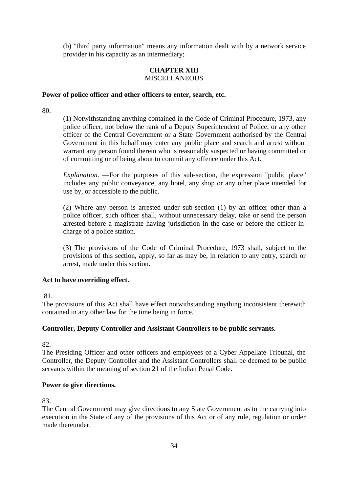(b) "third party information" means any information dealt with by a network service provider in his capacity as an intermediary;

#### **CHAPTER XIII MISCELLANEOUS**

#### **Power of police officer and other officers to enter, search, etc.**

80.

(1) Notwithstanding anything contained in the Code of Criminal Procedure, 1973, any police officer, not below the rank of a Deputy Superintendent of Police, or any other officer of the Central Government or a State Government authorised by the Central Government in this behalf may enter any public place and search and arrest without warrant any person found therein who is reasonably suspected or having committed or of committing or of being about to commit any offence under this Act.

*Explanation*. —For the purposes of this sub-section, the expression "public place" includes any public conveyance, any hotel, any shop or any other place intended for use by, or accessible to the public.

(2) Where any person is arrested under sub-section (1) by an officer other than a police officer, such officer shall, without unnecessary delay, take or send the person arrested before a magistrate having jurisdiction in the case or before the officer-incharge of a police station.

(3) The provisions of the Code of Criminal Procedure, 1973 shall, subject to the provisions of this section, apply, so far as may be, in relation to any entry, search or arrest, made under this section.

#### **Act to have overriding effect.**

81.

The provisions of this Act shall have effect notwithstanding anything inconsistent therewith contained in any other law for the time being in force.

#### **Controller, Deputy Controller and Assistant Controllers to be public servants.**

82.

The Presiding Officer and other officers and employees of a Cyber Appellate Tribunal, the Controller, the Deputy Controller and the Assistant Controllers shall be deemed to be public servants within the meaning of section 21 of the Indian Penal Code.

#### **Power to give directions.**

83.

The Central Government may give directions to any State Government as to the carrying into execution in the State of any of the provisions of this Act or of any rule, regulation or order made thereunder.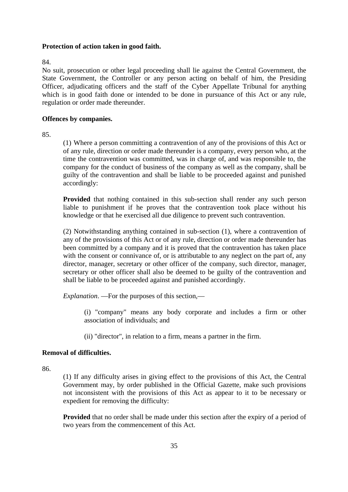### **Protection of action taken in good faith.**

84.

No suit, prosecution or other legal proceeding shall lie against the Central Government, the State Government, the Controller or any person acting on behalf of him, the Presiding Officer, adjudicating officers and the staff of the Cyber Appellate Tribunal for anything which is in good faith done or intended to be done in pursuance of this Act or any rule, regulation or order made thereunder.

### **Offences by companies.**

85.

(1) Where a person committing a contravention of any of the provisions of this Act or of any rule, direction or order made thereunder is a company, every person who, at the time the contravention was committed, was in charge of, and was responsible to, the company for the conduct of business of the company as well as the company, shall be guilty of the contravention and shall be liable to be proceeded against and punished accordingly:

**Provided** that nothing contained in this sub-section shall render any such person liable to punishment if he proves that the contravention took place without his knowledge or that he exercised all due diligence to prevent such contravention.

(2) Notwithstanding anything contained in sub-section (1), where a contravention of any of the provisions of this Act or of any rule, direction or order made thereunder has been committed by a company and it is proved that the contravention has taken place with the consent or connivance of, or is attributable to any neglect on the part of, any director, manager, secretary or other officer of the company, such director, manager, secretary or other officer shall also be deemed to be guilty of the contravention and shall be liable to be proceeded against and punished accordingly.

*Explanation*. —For the purposes of this section,—

(i) "company" means any body corporate and includes a firm or other association of individuals; and

(ii) "director", in relation to a firm, means a partner in the firm.

#### **Removal of difficulties.**

86.

(1) If any difficulty arises in giving effect to the provisions of this Act, the Central Government may, by order published in the Official Gazette, make such provisions not inconsistent with the provisions of this Act as appear to it to be necessary or expedient for removing the difficulty:

**Provided** that no order shall be made under this section after the expiry of a period of two years from the commencement of this Act.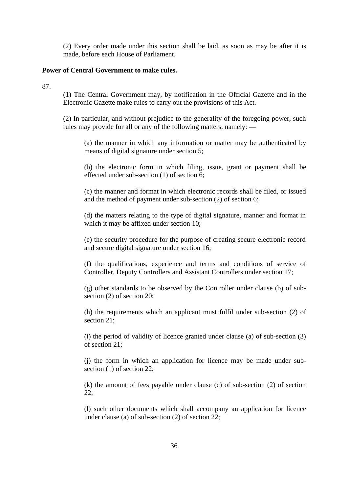(2) Every order made under this section shall be laid, as soon as may be after it is made, before each House of Parliament.

### **Power of Central Government to make rules.**

87.

(1) The Central Government may, by notification in the Official Gazette and in the Electronic Gazette make rules to carry out the provisions of this Act.

(2) In particular, and without prejudice to the generality of the foregoing power, such rules may provide for all or any of the following matters, namely: —

(a) the manner in which any information or matter may be authenticated by means of digital signature under section 5;

(b) the electronic form in which filing, issue, grant or payment shall be effected under sub-section (1) of section 6;

(c) the manner and format in which electronic records shall be filed, or issued and the method of payment under sub-section (2) of section 6;

(d) the matters relating to the type of digital signature, manner and format in which it may be affixed under section 10;

(e) the security procedure for the purpose of creating secure electronic record and secure digital signature under section 16;

(f) the qualifications, experience and terms and conditions of service of Controller, Deputy Controllers and Assistant Controllers under section 17;

(g) other standards to be observed by the Controller under clause (b) of subsection (2) of section 20;

(h) the requirements which an applicant must fulfil under sub-section (2) of section 21:

(i) the period of validity of licence granted under clause (a) of sub-section (3) of section 21;

(j) the form in which an application for licence may be made under subsection (1) of section 22;

(k) the amount of fees payable under clause (c) of sub-section (2) of section 22;

(l) such other documents which shall accompany an application for licence under clause (a) of sub-section (2) of section 22;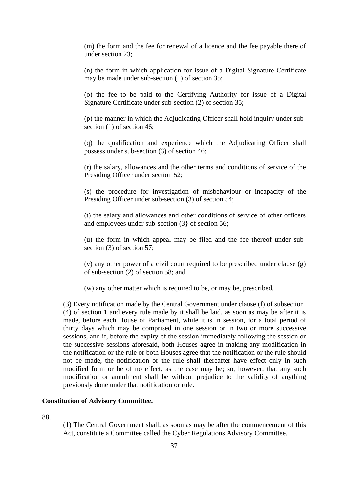(m) the form and the fee for renewal of a licence and the fee payable there of under section 23;

(n) the form in which application for issue of a Digital Signature Certificate may be made under sub-section (1) of section 35;

(o) the fee to be paid to the Certifying Authority for issue of a Digital Signature Certificate under sub-section (2) of section 35;

(p) the manner in which the Adjudicating Officer shall hold inquiry under subsection (1) of section 46;

(q) the qualification and experience which the Adjudicating Officer shall possess under sub-section (3) of section 46;

(r) the salary, allowances and the other terms and conditions of service of the Presiding Officer under section 52;

(s) the procedure for investigation of misbehaviour or incapacity of the Presiding Officer under sub-section (3) of section 54;

(t) the salary and allowances and other conditions of service of other officers and employees under sub-section (3} of section 56;

(u) the form in which appeal may be filed and the fee thereof under subsection (3) of section 57;

(v) any other power of a civil court required to be prescribed under clause (g) of sub-section (2) of section 58; and

(w) any other matter which is required to be, or may be, prescribed.

(3) Every notification made by the Central Government under clause (f) of subsection (4) of section 1 and every rule made by it shall be laid, as soon as may be after it is made, before each House of Parliament, while it is in session, for a total period of thirty days which may be comprised in one session or in two or more successive sessions, and if, before the expiry of the session immediately following the session or the successive sessions aforesaid, both Houses agree in making any modification in the notification or the rule or both Houses agree that the notification or the rule should not be made, the notification or the rule shall thereafter have effect only in such modified form or be of no effect, as the case may be; so, however, that any such modification or annulment shall be without prejudice to the validity of anything previously done under that notification or rule.

#### **Constitution of Advisory Committee.**

88.

(1) The Central Government shall, as soon as may be after the commencement of this Act, constitute a Committee called the Cyber Regulations Advisory Committee.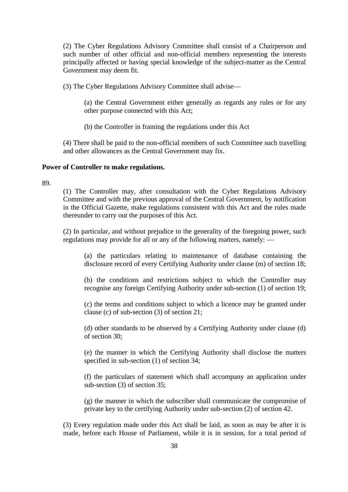(2) The Cyber Regulations Advisory Committee shall consist of a Chairperson and such number of other official and non-official members representing the interests principally affected or having special knowledge of the subject-matter as the Central Government may deem fit.

(3) The Cyber Regulations Advisory Committee shall advise—

(a) the Central Government either generally as regards any rules or for any other purpose connected with this Act;

(b) the Controller in framing the regulations under this Act

(4) There shall be paid to the non-official members of such Committee such travelling and other allowances as the Central Government may fix.

#### **Power of Controller to make regulations.**

89.

(1) The Controller may, after consultation with the Cyber Regulations Advisory Committee and with the previous approval of the Central Government, by notification in the Official Gazette, make regulations consistent with this Act and the rules made thereunder to carry out the purposes of this Act.

(2) In particular, and without prejudice to the generality of the foregoing power, such regulations may provide for all or any of the following matters, namely: —

(a) the particulars relating to maintenance of database containing the disclosure record of every Certifying Authority under clause (m) of section 18;

(b) the conditions and restrictions subject to which the Controller may recognise any foreign Certifying Authority under sub-section (1) of section 19;

(c) the terms and conditions subject to which a licence may be granted under clause (c) of sub-section (3) of section 21;

(d) other standards to be observed by a Certifying Authority under clause (d) of section 30;

(e) the manner in which the Certifying Authority shall disclose the matters specified in sub-section (1) of section 34;

(f) the particulars of statement which shall accompany an application under sub-section (3) of section 35;

(g) the manner in which the subscriber shall communicate the compromise of private key to the certifying Authority under sub-section (2) of section 42.

(3) Every regulation made under this Act shall be laid, as soon as may be after it is made, before each House of Parliament, while it is in session, for a total period of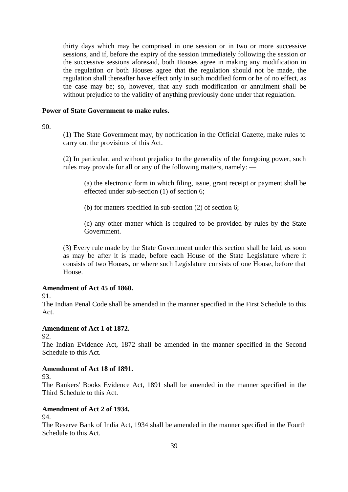thirty days which may be comprised in one session or in two or more successive sessions, and if, before the expiry of the session immediately following the session or the successive sessions aforesaid, both Houses agree in making any modification in the regulation or both Houses agree that the regulation should not be made, the regulation shall thereafter have effect only in such modified form or he of no effect, as the case may be; so, however, that any such modification or annulment shall be without prejudice to the validity of anything previously done under that regulation.

#### **Power of State Government to make rules.**

#### 90.

(1) The State Government may, by notification in the Official Gazette, make rules to carry out the provisions of this Act.

(2) In particular, and without prejudice to the generality of the foregoing power, such rules may provide for all or any of the following matters, namely: —

(a) the electronic form in which filing, issue, grant receipt or payment shall be effected under sub-section (1) of section 6;

(b) for matters specified in sub-section (2) of section 6;

(c) any other matter which is required to be provided by rules by the State Government.

(3) Every rule made by the State Government under this section shall be laid, as soon as may be after it is made, before each House of the State Legislature where it consists of two Houses, or where such Legislature consists of one House, before that House.

### **Amendment of Act 45 of 1860.**

#### 91.

The Indian Penal Code shall be amended in the manner specified in the First Schedule to this  $Act$ 

### **Amendment of Act 1 of 1872.**

#### 92.

The Indian Evidence Act, 1872 shall be amended in the manner specified in the Second Schedule to this Act.

### **Amendment of Act 18 of 1891.**

#### 93.

The Bankers' Books Evidence Act, 1891 shall be amended in the manner specified in the Third Schedule to this Act.

### **Amendment of Act 2 of 1934.**

#### 94.

The Reserve Bank of India Act, 1934 shall be amended in the manner specified in the Fourth Schedule to this Act.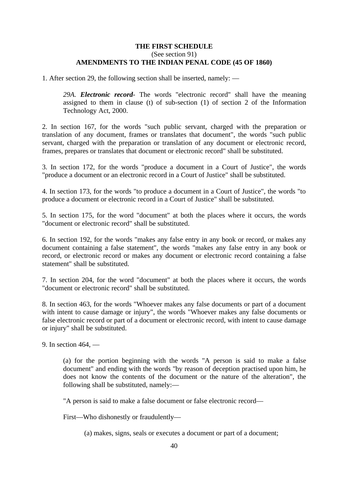### **THE FIRST SCHEDULE** (See section 91) **AMENDMENTS TO THE INDIAN PENAL CODE (45 OF 1860)**

1. After section 29, the following section shall be inserted, namely: —

*29A. Electronic record-* The words "electronic record" shall have the meaning assigned to them in clause (t) of sub-section (1) of section 2 of the Information Technology Act, 2000.

2. In section 167, for the words "such public servant, charged with the preparation or translation of any document, frames or translates that document", the words "such public servant, charged with the preparation or translation of any document or electronic record, frames, prepares or translates that document or electronic record" shall be substituted.

3. In section 172, for the words "produce a document in a Court of Justice", the words "produce a document or an electronic record in a Court of Justice" shall be substituted.

4. In section 173, for the words "to produce a document in a Court of Justice", the words "to produce a document or electronic record in a Court of Justice" shall be substituted.

5. In section 175, for the word "document" at both the places where it occurs, the words "document or electronic record" shall be substituted.

6. In section 192, for the words "makes any false entry in any book or record, or makes any document containing a false statement", the words "makes any false entry in any book or record, or electronic record or makes any document or electronic record containing a false statement" shall be substituted.

7. In section 204, for the word "document" at both the places where it occurs, the words "document or electronic record" shall be substituted.

8. In section 463, for the words "Whoever makes any false documents or part of a document with intent to cause damage or injury", the words "Whoever makes any false documents or false electronic record or part of a document or electronic record, with intent to cause damage or injury" shall be substituted.

9. In section 464, —

(a) for the portion beginning with the words "A person is said to make a false document" and ending with the words "by reason of deception practised upon him, he does not know the contents of the document or the nature of the alteration", the following shall be substituted, namely:—

"A person is said to make a false document or false electronic record—

First—Who dishonestly or fraudulently—

(a) makes, signs, seals or executes a document or part of a document;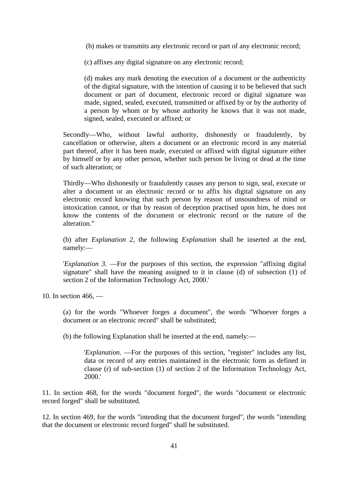(b) makes or transmits any electronic record or part of any electronic record;

(c) affixes any digital signature on any electronic record;

(d) makes any mark denoting the execution of a document or the authenticity of the digital signature, with the intention of causing it to be believed that such document or part of document, electronic record or digital signature was made, signed, sealed, executed, transmitted or affixed by or by the authority of a person by whom or by whose authority he knows that it was not made, signed, sealed, executed or affixed; or

Secondly—Who, without lawful authority, dishonestly or fraudulently, by cancellation or otherwise, alters a document or an electronic record in any material part thereof, after it has been made, executed or affixed with digital signature either by himself or by any other person, whether such person be living or dead at the time of such alteration; or

Thirdly—Who dishonestly or fraudulently causes any person to sign, seal, execute or alter a document or an electronic record or to affix his digital signature on any electronic record knowing that such person by reason of unsoundness of mind or intoxication cannot, or that by reason of deception practised upon him, he does not know the contents of the document or electronic record or the nature of the alteration"

(b) after *Explanation 2*, the following *Explanation* shall be inserted at the end, namely:—

'*Explanation 3*. —For the purposes of this section, the expression "affixing digital signature" shall have the meaning assigned to it in clause (d) of subsection (1) of section 2 of the Information Technology Act, 2000.'

10. In section 466, —

(a) for the words "Whoever forges a document", the words "Whoever forges a document or an electronic record" shall be substituted;

(b) the following Explanation shall be inserted at the end, namely:—

'*Explanation*. —For the purposes of this section, "register" includes any list, data or record of any entries maintained in the electronic form as defined in clause (r) of sub-section (1) of section 2 of the Information Technology Act, 2000.'

11. In section 468, for the words "document forged", the words "document or electronic record forged" shall be substituted.

12. In section 469, for the words "intending that the document forged", the words "intending that the document or electronic record forged" shall be substituted.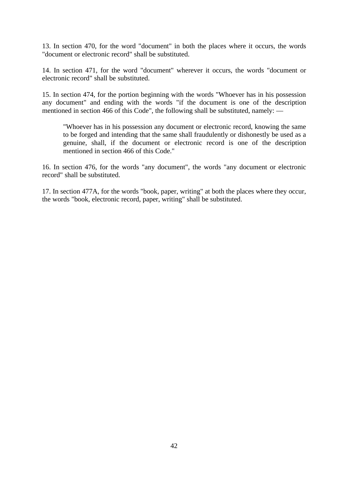13. In section 470, for the word "document" in both the places where it occurs, the words "document or electronic record" shall be substituted.

14. In section 471, for the word "document" wherever it occurs, the words "document or electronic record" shall be substituted.

15. In section 474, for the portion beginning with the words "Whoever has in his possession any document" and ending with the words "if the document is one of the description mentioned in section 466 of this Code", the following shall be substituted, namely: —

"Whoever has in his possession any document or electronic record, knowing the same to be forged and intending that the same shall fraudulently or dishonestly be used as a genuine, shall, if the document or electronic record is one of the description mentioned in section 466 of this Code."

16. In section 476, for the words "any document", the words "any document or electronic record" shall be substituted.

17. In section 477A, for the words "book, paper, writing" at both the places where they occur, the words "book, electronic record, paper, writing" shall be substituted.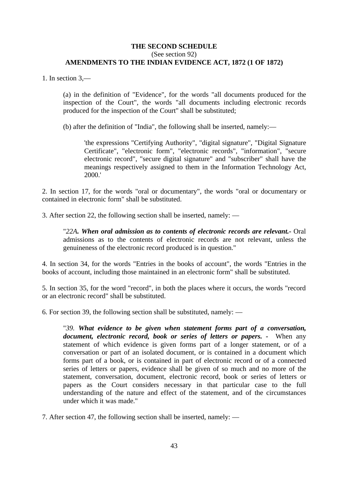### **THE SECOND SCHEDULE** (See section 92) **AMENDMENTS TO THE INDIAN EVIDENCE ACT, 1872 (1 OF 1872)**

1. In section 3,—

(a) in the definition of "Evidence", for the words "all documents produced for the inspection of the Court", the words "all documents including electronic records produced for the inspection of the Court" shall be substituted;

(b) after the definition of "India", the following shall be inserted, namely:—

'the expressions "Certifying Authority", "digital signature", "Digital Signature Certificate", "electronic form", "electronic records", "information", "secure electronic record", "secure digital signature" and "subscriber" shall have the meanings respectively assigned to them in the Information Technology Act, 2000.'

2. In section 17, for the words "oral or documentary", the words "oral or documentary or contained in electronic form" shall be substituted.

3. After section 22, the following section shall be inserted, namely: —

"*22A. When oral admission as to contents of electronic records are relevant.-* Oral admissions as to the contents of electronic records are not relevant, unless the genuineness of the electronic record produced is in question."

4. In section 34, for the words "Entries in the books of account", the words "Entries in the books of account, including those maintained in an electronic form" shall be substituted.

5. In section 35, for the word "record", in both the places where it occurs, the words "record or an electronic record" shall be substituted.

6. For section 39, the following section shall be substituted, namely: —

"*39. What evidence to be given when statement forms part of a conversation, document, electronic record, book or series of letters or papers. -* When any statement of which evidence is given forms part of a longer statement, or of a conversation or part of an isolated document, or is contained in a document which forms part of a book, or is contained in part of electronic record or of a connected series of letters or papers, evidence shall be given of so much and no more of the statement, conversation, document, electronic record, book or series of letters or papers as the Court considers necessary in that particular case to the full understanding of the nature and effect of the statement, and of the circumstances under which it was made."

7. After section 47, the following section shall be inserted, namely: —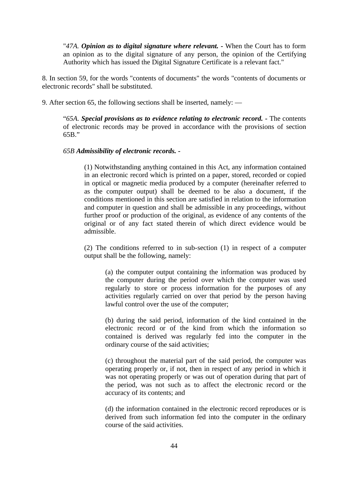"*47A. Opinion as to digital signature where relevant. -* When the Court has to form an opinion as to the digital signature of any person, the opinion of the Certifying Authority which has issued the Digital Signature Certificate is a relevant fact."

8. In section 59, for the words "contents of documents" the words "contents of documents or electronic records" shall be substituted.

9. After section 65, the following sections shall be inserted, namely: —

"*65A. Special provisions as to evidence relating to electronic record. -* The contents of electronic records may be proved in accordance with the provisions of section 65B."

#### *65B Admissibility of electronic records. -*

(1) Notwithstanding anything contained in this Act, any information contained in an electronic record which is printed on a paper, stored, recorded or copied in optical or magnetic media produced by a computer (hereinafter referred to as the computer output) shall be deemed to be also a document, if the conditions mentioned in this section are satisfied in relation to the information and computer in question and shall be admissible in any proceedings, without further proof or production of the original, as evidence of any contents of the original or of any fact stated therein of which direct evidence would be admissible.

(2) The conditions referred to in sub-section (1) in respect of a computer output shall be the following, namely:

(a) the computer output containing the information was produced by the computer during the period over which the computer was used regularly to store or process information for the purposes of any activities regularly carried on over that period by the person having lawful control over the use of the computer;

(b) during the said period, information of the kind contained in the electronic record or of the kind from which the information so contained is derived was regularly fed into the computer in the ordinary course of the said activities;

(c) throughout the material part of the said period, the computer was operating properly or, if not, then in respect of any period in which it was not operating properly or was out of operation during that part of the period, was not such as to affect the electronic record or the accuracy of its contents; and

(d) the information contained in the electronic record reproduces or is derived from such information fed into the computer in the ordinary course of the said activities.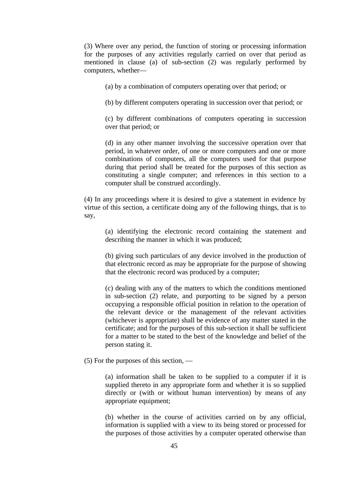(3) Where over any period, the function of storing or processing information for the purposes of any activities regularly carried on over that period as mentioned in clause (a) of sub-section (2) was regularly performed by computers, whether—

(a) by a combination of computers operating over that period; or

(b) by different computers operating in succession over that period; or

(c) by different combinations of computers operating in succession over that period; or

(d) in any other manner involving the successive operation over that period, in whatever order, of one or more computers and one or more combinations of computers, all the computers used for that purpose during that period shall be treated for the purposes of this section as constituting a single computer; and references in this section to a computer shall be construed accordingly.

(4) In any proceedings where it is desired to give a statement in evidence by virtue of this section, a certificate doing any of the following things, that is to say,

(a) identifying the electronic record containing the statement and describing the manner in which it was produced;

(b) giving such particulars of any device involved in the production of that electronic record as may be appropriate for the purpose of showing that the electronic record was produced by a computer;

(c) dealing with any of the matters to which the conditions mentioned in sub-section (2) relate, and purporting to be signed by a person occupying a responsible official position in relation to the operation of the relevant device or the management of the relevant activities (whichever is appropriate) shall be evidence of any matter stated in the certificate; and for the purposes of this sub-section it shall be sufficient for a matter to be stated to the best of the knowledge and belief of the person stating it.

(5) For the purposes of this section, —

(a) information shall be taken to be supplied to a computer if it is supplied thereto in any appropriate form and whether it is so supplied directly or (with or without human intervention) by means of any appropriate equipment;

(b) whether in the course of activities carried on by any official, information is supplied with a view to its being stored or processed for the purposes of those activities by a computer operated otherwise than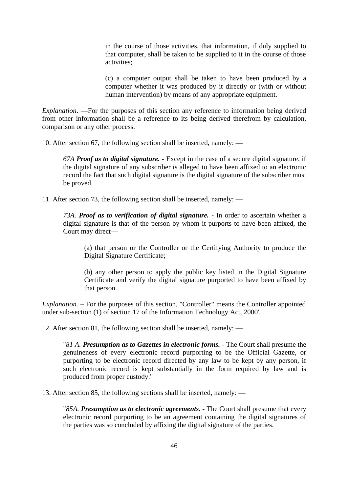in the course of those activities, that information, if duly supplied to that computer, shall be taken to be supplied to it in the course of those activities;

(c) a computer output shall be taken to have been produced by a computer whether it was produced by it directly or (with or without human intervention) by means of any appropriate equipment.

*Explanation*. —For the purposes of this section any reference to information being derived from other information shall be a reference to its being derived therefrom by calculation, comparison or any other process.

10. After section 67, the following section shall be inserted, namely: —

*67A Proof as to digital signature. -* Except in the case of a secure digital signature, if the digital signature of any subscriber is alleged to have been affixed to an electronic record the fact that such digital signature is the digital signature of the subscriber must be proved.

11. After section 73, the following section shall be inserted, namely: —

*73A. Proof as to verification of digital signature. -* In order to ascertain whether a digital signature is that of the person by whom it purports to have been affixed, the Court may direct—

(a) that person or the Controller or the Certifying Authority to produce the Digital Signature Certificate;

(b) any other person to apply the public key listed in the Digital Signature Certificate and verify the digital signature purported to have been affixed by that person.

*Explanation.* – For the purposes of this section, "Controller" means the Controller appointed under sub-section (1) of section 17 of the Information Technology Act, 2000'.

12. After section 81, the following section shall be inserted, namely: —

"*81 A. Presumption as to Gazettes in electronic forms. -* The Court shall presume the genuineness of every electronic record purporting to be the Official Gazette, or purporting to be electronic record directed by any law to be kept by any person, if such electronic record is kept substantially in the form required by law and is produced from proper custody."

13. After section 85, the following sections shall be inserted, namely: —

"*85A. Presumption as to electronic agreements. -* The Court shall presume that every electronic record purporting to be an agreement containing the digital signatures of the parties was so concluded by affixing the digital signature of the parties.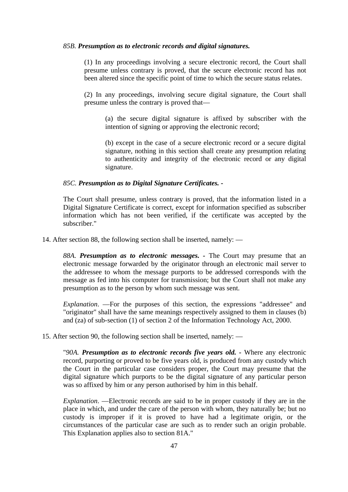#### *85B. Presumption as to electronic records and digital signatures.*

(1) In any proceedings involving a secure electronic record, the Court shall presume unless contrary is proved, that the secure electronic record has not been altered since the specific point of time to which the secure status relates.

(2) In any proceedings, involving secure digital signature, the Court shall presume unless the contrary is proved that—

(a) the secure digital signature is affixed by subscriber with the intention of signing or approving the electronic record;

(b) except in the case of a secure electronic record or a secure digital signature, nothing in this section shall create any presumption relating to authenticity and integrity of the electronic record or any digital signature.

#### *85C. Presumption as to Digital Signature Certificates. -*

The Court shall presume, unless contrary is proved, that the information listed in a Digital Signature Certificate is correct, except for information specified as subscriber information which has not been verified, if the certificate was accepted by the subscriber."

14. After section 88, the following section shall be inserted, namely: —

*88A. Presumption as to electronic messages. -* The Court may presume that an electronic message forwarded by the originator through an electronic mail server to the addressee to whom the message purports to be addressed corresponds with the message as fed into his computer for transmission; but the Court shall not make any presumption as to the person by whom such message was sent.

*Explanation*. —For the purposes of this section, the expressions "addressee" and "originator" shall have the same meanings respectively assigned to them in clauses (b) and (za) of sub-section (1) of section 2 of the Information Technology Act, 2000.

#### 15. After section 90, the following section shall be inserted, namely: —

"*90A. Presumption as to electronic records five years old. -* Where any electronic record, purporting or proved to be five years old, is produced from any custody which the Court in the particular case considers proper, the Court may presume that the digital signature which purports to be the digital signature of any particular person was so affixed by him or any person authorised by him in this behalf.

*Explanation*. —Electronic records are said to be in proper custody if they are in the place in which, and under the care of the person with whom, they naturally be; but no custody is improper if it is proved to have had a legitimate origin, or the circumstances of the particular case are such as to render such an origin probable. This Explanation applies also to section 81A."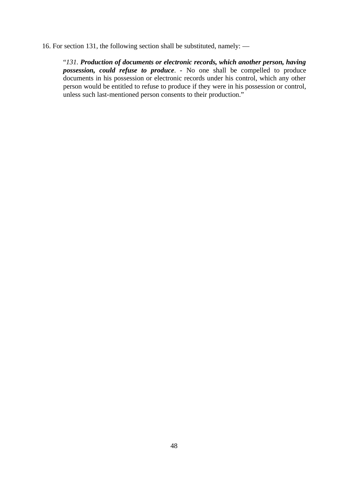16. For section 131, the following section shall be substituted, namely: —

"*131. Production of documents or electronic records, which another person, having possession, could refuse to produce.* - No one shall be compelled to produce documents in his possession or electronic records under his control, which any other person would be entitled to refuse to produce if they were in his possession or control, unless such last-mentioned person consents to their production."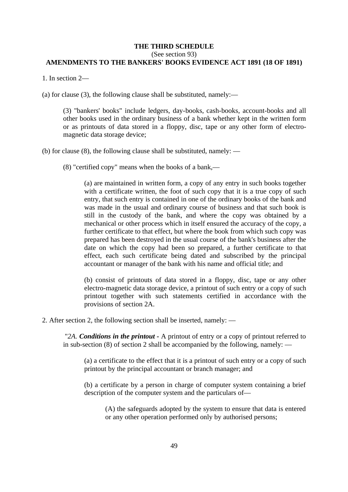#### **THE THIRD SCHEDULE**

(See section 93)

### **AMENDMENTS TO THE BANKERS' BOOKS EVIDENCE ACT 1891 (18 OF 1891)**

1. In section 2—

(a) for clause (3), the following clause shall be substituted, namely:—

(3) "bankers' books" include ledgers, day-books, cash-books, account-books and all other books used in the ordinary business of a bank whether kept in the written form or as printouts of data stored in a floppy, disc, tape or any other form of electromagnetic data storage device;

(b) for clause (8), the following clause shall be substituted, namely: —

(8) "certified copy" means when the books of a bank,—

(a) are maintained in written form, a copy of any entry in such books together with a certificate written, the foot of such copy that it is a true copy of such entry, that such entry is contained in one of the ordinary books of the bank and was made in the usual and ordinary course of business and that such book is still in the custody of the bank, and where the copy was obtained by a mechanical or other process which in itself ensured the accuracy of the copy, a further certificate to that effect, but where the book from which such copy was prepared has been destroyed in the usual course of the bank's business after the date on which the copy had been so prepared, a further certificate to that effect, each such certificate being dated and subscribed by the principal accountant or manager of the bank with his name and official title; and

(b) consist of printouts of data stored in a floppy, disc, tape or any other electro-magnetic data storage device, a printout of such entry or a copy of such printout together with such statements certified in accordance with the provisions of section 2A.

2. After section 2, the following section shall be inserted, namely: —

 "*2A. Conditions in the printout -* A printout of entry or a copy of printout referred to in sub-section (8) of section 2 shall be accompanied by the following, namely:  $\overline{\phantom{a}}$ 

(a) a certificate to the effect that it is a printout of such entry or a copy of such printout by the principal accountant or branch manager; and

(b) a certificate by a person in charge of computer system containing a brief description of the computer system and the particulars of—

(A) the safeguards adopted by the system to ensure that data is entered or any other operation performed only by authorised persons;